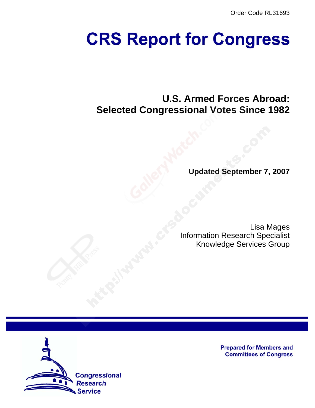Order Code RL31693

# **CRS Report for Congress**

# **U.S. Armed Forces Abroad: Selected Congressional Votes Since 1982**

**Updated September 7, 2007**

Lisa Mages Information Research Specialist Knowledge Services Group



**Prepared for Members and Committees of Congress**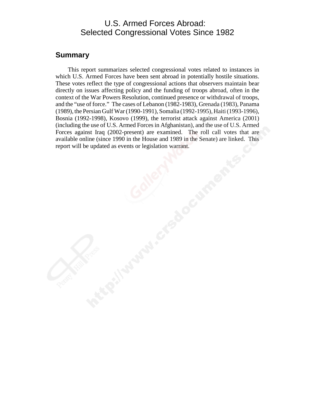#### U.S. Armed Forces Abroad: Selected Congressional Votes Since 1982

#### **Summary**

This report summarizes selected congressional votes related to instances in which U.S. Armed Forces have been sent abroad in potentially hostile situations. These votes reflect the type of congressional actions that observers maintain bear directly on issues affecting policy and the funding of troops abroad, often in the context of the War Powers Resolution, continued presence or withdrawal of troops, and the "use of force." The cases of Lebanon (1982-1983), Grenada (1983), Panama (1989), the Persian Gulf War (1990-1991), Somalia (1992-1995), Haiti (1993-1996), Bosnia (1992-1998), Kosovo (1999), the terrorist attack against America (2001) (including the use of U.S. Armed Forces in Afghanistan), and the use of U.S. Armed Forces against Iraq (2002-present) are examined. The roll call votes that are available online (since 1990 in the House and 1989 in the Senate) are linked. This report will be updated as events or legislation warrant.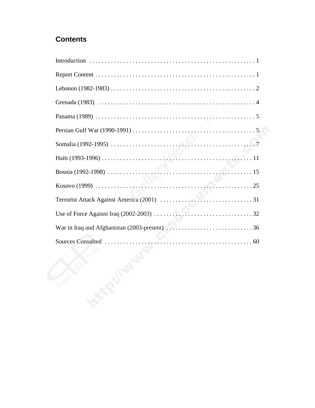#### **Contents**

| <b>CENT</b> |
|-------------|
|             |
|             |
|             |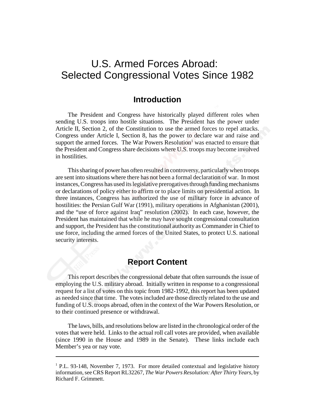# U.S. Armed Forces Abroad: Selected Congressional Votes Since 1982

#### **Introduction**

The President and Congress have historically played different roles when sending U.S. troops into hostile situations. The President has the power under Article II, Section 2, of the Constitution to use the armed forces to repel attacks. Congress under Article I, Section 8, has the power to declare war and raise and support the armed forces. The War Powers Resolution<sup>1</sup> was enacted to ensure that the President and Congress share decisions where U.S. troops may become involved in hostilities.

This sharing of power has often resulted in controversy, particularly when troops are sent into situations where there has not been a formal declaration of war. In most instances, Congress has used its legislative prerogatives through funding mechanisms or declarations of policy either to affirm or to place limits on presidential action. In three instances, Congress has authorized the use of military force in advance of hostilities: the Persian Gulf War (1991), military operations in Afghanistan (2001), and the "use of force against Iraq" resolution (2002). In each case, however, the President has maintained that while he may have sought congressional consultation and support, the President has the constitutional authority as Commander in Chief to use force, including the armed forces of the United States, to protect U.S. national security interests.

#### **Report Content**

This report describes the congressional debate that often surrounds the issue of employing the U.S. military abroad. Initially written in response to a congressional request for a list of votes on this topic from 1982-1992, this report has been updated as needed since that time. The votes included are those directly related to the use and funding of U.S. troops abroad, often in the context of the War Powers Resolution, or to their continued presence or withdrawal.

The laws, bills, and resolutions below are listed in the chronological order of the votes that were held. Links to the actual roll call votes are provided, when available (since 1990 in the House and 1989 in the Senate). These links include each Member's yea or nay vote.

<sup>&</sup>lt;sup>1</sup> P.L. 93-148, November 7, 1973. For more detailed contextual and legislative history information, see CRS Report RL32267, *The War Powers Resolution: After Thirty Years*, by Richard F. Grimmett.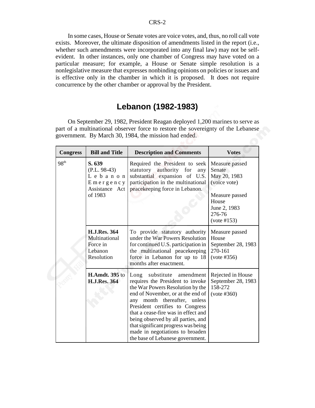In some cases, House or Senate votes are voice votes, and, thus, no roll call vote exists. Moreover, the ultimate disposition of amendments listed in the report (i.e., whether such amendments were incorporated into any final law) may not be selfevident. In other instances, only one chamber of Congress may have voted on a particular measure; for example, a House or Senate simple resolution is a nonlegislative measure that expresses nonbinding opinions on policies or issues and is effective only in the chamber in which it is proposed. It does not require concurrence by the other chamber or approval by the President.

#### **Lebanon (1982-1983)**

On September 29, 1982, President Reagan deployed 1,200 marines to serve as part of a multinational observer force to restore the sovereignty of the Lebanese government. By March 30, 1984, the mission had ended.

| <b>Congress</b>  | <b>Bill and Title</b>                                                         | <b>Description and Comments</b>                                                                                                                                                                                                                                                                                                                                                                      | <b>Votes</b>                                                                                                                 |
|------------------|-------------------------------------------------------------------------------|------------------------------------------------------------------------------------------------------------------------------------------------------------------------------------------------------------------------------------------------------------------------------------------------------------------------------------------------------------------------------------------------------|------------------------------------------------------------------------------------------------------------------------------|
| 98 <sup>th</sup> | S. 639<br>$(P.L. 98-43)$<br>Lebanon<br>Emergency<br>Assistance Act<br>of 1983 | Required the President to seek<br>statutory authority for<br>any<br>substantial expansion of U.S.<br>participation in the multinational<br>peacekeeping force in Lebanon.                                                                                                                                                                                                                            | Measure passed<br>Senate<br>May 20, 1983<br>(voice vote)<br>Measure passed<br>House<br>June 2, 1983<br>276-76<br>(vote #153) |
|                  | <b>H.J.Res. 364</b><br>Multinational<br>Force in<br>Lebanon<br>Resolution     | To provide statutory authority<br>under the War Powers Resolution<br>for continued U.S. participation in<br>the multinational peacekeeping<br>force in Lebanon for up to 18<br>months after enactment.                                                                                                                                                                                               | Measure passed<br>House<br>September 28, 1983<br>270-161<br>(vote #356)                                                      |
|                  | <b>H.Amdt.</b> 395 to<br><b>H.J.Res. 364</b>                                  | Long substitute amendment<br>requires the President to invoke<br>the War Powers Resolution by the<br>end of November, or at the end of<br>any month thereafter, unless<br>President certifies to Congress<br>that a cease-fire was in effect and<br>being observed by all parties, and<br>that significant progress was being<br>made in negotiations to broaden<br>the base of Lebanese government. | Rejected in House<br>September 28, 1983<br>158-272<br>(vote #360)                                                            |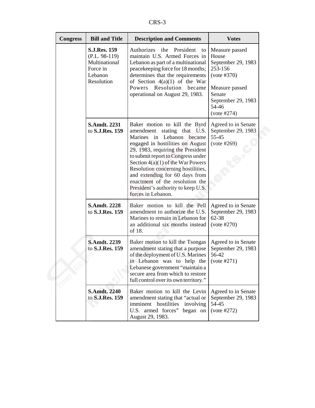|--|

| <b>Congress</b> | <b>Bill and Title</b>                                                                        | <b>Description and Comments</b>                                                                                                                                                                                                                                                                                                                                                                                        | <b>Votes</b>                                                                                                                                      |
|-----------------|----------------------------------------------------------------------------------------------|------------------------------------------------------------------------------------------------------------------------------------------------------------------------------------------------------------------------------------------------------------------------------------------------------------------------------------------------------------------------------------------------------------------------|---------------------------------------------------------------------------------------------------------------------------------------------------|
|                 | <b>S.J.Res. 159</b><br>$(P.L. 98-119)$<br>Multinational<br>Force in<br>Lebanon<br>Resolution | Authorizes the President<br>to<br>maintain U.S. Armed Forces in<br>Lebanon as part of a multinational<br>peacekeeping force for 18 months;<br>determines that the requirements<br>of Section $4(a)(1)$ of the War<br>Resolution<br>Powers<br>became<br>operational on August 29, 1983.                                                                                                                                 | Measure passed<br>House<br>September 29, 1983<br>253-156<br>(vote #370)<br>Measure passed<br>Senate<br>September 29, 1983<br>54-46<br>(vote #274) |
|                 | <b>S.Amdt. 2231</b><br>to S.J.Res. 159                                                       | Baker motion to kill the Byrd<br>amendment stating that U.S.<br>Marines in Lebanon became<br>engaged in hostilities on August<br>29, 1983, requiring the President<br>to submit report to Congress under<br>Section $4(a)(1)$ of the War Powers<br>Resolution concerning hostilities,<br>and extending for 60 days from<br>enactment of the resolution the<br>President's authority to keep U.S.<br>forces in Lebanon. | Agreed to in Senate<br>September 29, 1983<br>55-45<br>(vote #269)                                                                                 |
|                 | <b>S.Amdt. 2228</b><br>to S.J.Res. 159                                                       | Baker motion to kill the Pell<br>amendment to authorize the U.S.<br>Marines to remain in Lebanon for<br>an additional six months instead<br>of 18.                                                                                                                                                                                                                                                                     | Agreed to in Senate<br>September 29, 1983<br>62-38<br>(vote #270)                                                                                 |
|                 | <b>S.Amdt. 2239</b><br>to S.J.Res. 159                                                       | Baker motion to kill the Tsongas<br>amendment stating that a purpose<br>of the deployment of U.S. Marines<br>in Lebanon was to help the<br>Lebanese government "maintain a<br>secure area from which to restore<br>full control over its own territory."                                                                                                                                                               | Agreed to in Senate<br>September 29, 1983<br>56-42<br>(vote #271)                                                                                 |
|                 | <b>S.Amdt. 2240</b><br>to S.J.Res. 159                                                       | Baker motion to kill the Levin<br>amendment stating that "actual or<br>imminent hostilities involving<br>U.S. armed forces" began on<br>August 29, 1983.                                                                                                                                                                                                                                                               | Agreed to in Senate<br>September 29, 1983<br>54-45<br>(vote #272)                                                                                 |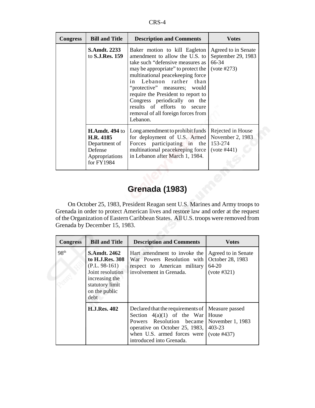| <b>Congress</b> | <b>Bill and Title</b>                                                                          | <b>Description and Comments</b>                                                                                                                                                                                                                                                                                                                                                                 | <b>Votes</b>                                                       |
|-----------------|------------------------------------------------------------------------------------------------|-------------------------------------------------------------------------------------------------------------------------------------------------------------------------------------------------------------------------------------------------------------------------------------------------------------------------------------------------------------------------------------------------|--------------------------------------------------------------------|
|                 | <b>S.Amdt. 2233</b><br>to S.J.Res. 159                                                         | Baker motion to kill Eagleton<br>amendment to allow the U.S. to<br>take such "defensive measures as<br>may be appropriate" to protect the<br>multinational peacekeeping force<br>in Lebanon rather than<br>"protective" measures; would<br>require the President to report to<br>Congress periodically on the<br>results of efforts to secure<br>removal of all foreign forces from<br>Lebanon. | Agreed to in Senate<br>September 29, 1983<br>66-34<br>(vote #273)  |
|                 | <b>H.Amdt. 494 to</b><br>H.R. 4185<br>Department of<br>Defense<br>Appropriations<br>for FY1984 | Long amendment to prohibit funds<br>for deployment of U.S. Armed<br>Forces participating in the<br>multinational peacekeeping force<br>in Lebanon after March 1, 1984.                                                                                                                                                                                                                          | Rejected in House<br>November 2, 1983<br>153-274<br>$(vote \#441)$ |

## **Grenada (1983)**

On October 25, 1983, President Reagan sent U.S. Marines and Army troops to Grenada in order to protect American lives and restore law and order at the request of the Organization of Eastern Caribbean States. All U.S. troops were removed from Grenada by December 15, 1983.

| <b>Congress</b>  | <b>Bill and Title</b>                                                                                                                       | <b>Description and Comments</b>                                                                                                                                                            | Votes                                                                   |
|------------------|---------------------------------------------------------------------------------------------------------------------------------------------|--------------------------------------------------------------------------------------------------------------------------------------------------------------------------------------------|-------------------------------------------------------------------------|
| 98 <sup>th</sup> | <b>S.Amdt. 2462</b><br>to H.J.Res. 308<br>$(P.L. 98-161)$<br>Joint resolution<br>increasing the<br>statutory limit<br>on the public<br>debt | Hart amendment to invoke the<br>War Powers Resolution with<br>respect to American military<br>involvement in Grenada.                                                                      | Agreed to in Senate<br>October 28, 1983<br>$64 - 20$<br>(vote #321)     |
|                  | <b>H.J.Res. 402</b>                                                                                                                         | Declared that the requirements of<br>Section $4(a)(1)$ of the War<br>Powers Resolution became<br>operative on October 25, 1983,<br>when U.S. armed forces were<br>introduced into Grenada. | Measure passed<br>House<br>November 1, 1983<br>403-23<br>$(vote \#437)$ |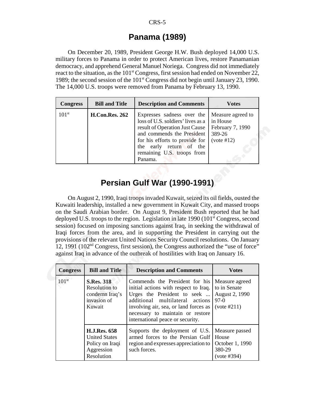#### CRS-5

#### **Panama (1989)**

On December 20, 1989, President George H.W. Bush deployed 14,000 U.S. military forces to Panama in order to protect American lives, restore Panamanian democracy, and apprehend General Manuel Noriega. Congress did not immediately react to the situation, as the  $101<sup>st</sup>$  Congress, first session had ended on November 22, 1989; the second session of the  $101<sup>st</sup>$  Congress did not begin until January 23, 1990. The 14,000 U.S. troops were removed from Panama by February 13, 1990.

| <b>Congress</b>   | <b>Bill and Title</b> | <b>Description and Comments</b>                                                                                                                                                                                                          | <b>Votes</b>                                                              |
|-------------------|-----------------------|------------------------------------------------------------------------------------------------------------------------------------------------------------------------------------------------------------------------------------------|---------------------------------------------------------------------------|
| 101 <sup>st</sup> | <b>H.Con.Res. 262</b> | Expresses sadness over the<br>loss of U.S. soldiers' lives as a<br>result of Operation Just Cause<br>and commends the President<br>for his efforts to provide for<br>early return of the<br>the<br>remaining U.S. troops from<br>Panama. | Measure agreed to<br>in House<br>February 7, 1990<br>389-26<br>(vote #12) |

## **Persian Gulf War (1990-1991)**

On August 2, 1990, Iraqi troops invaded Kuwait, seized its oil fields, ousted the Kuwaiti leadership, installed a new government in Kuwait City, and massed troops on the Saudi Arabian border. On August 9, President Bush reported that he had deployed U.S. troops to the region. Legislation in late 1990 ( $101<sup>st</sup>$  Congress, second session) focused on imposing sanctions against Iraq, in seeking the withdrawal of Iraqi forces from the area, and in supporting the President in carrying out the provisions of the relevant United Nations Security Council resolutions. On January 12, 1991  $(102<sup>nd</sup> Congress, first session)$ , the Congress authorized the "use of force" against Iraq in advance of the outbreak of hostilities with Iraq on January 16.

| <b>Congress</b>   | <b>Bill and Title</b>                                                                      | <b>Description and Comments</b>                                                                                                                                                                                                                            | <b>Votes</b>                                                              |
|-------------------|--------------------------------------------------------------------------------------------|------------------------------------------------------------------------------------------------------------------------------------------------------------------------------------------------------------------------------------------------------------|---------------------------------------------------------------------------|
| 101 <sup>st</sup> | <b>S.Res. 318</b><br>Resolution to<br>condemn Iraq's<br>invasion of<br>Kuwait              | Commends the President for his<br>initial actions with respect to Iraq.<br>Urges the President to seek<br>additional multilateral actions<br>involving air, sea, or land forces as<br>necessary to maintain or restore<br>international peace or security. | Measure agreed<br>to in Senate<br>August 2, 1990<br>$97-0$<br>(vote #211) |
|                   | <b>H.J.Res. 658</b><br><b>United States</b><br>Policy on Iraqi<br>Aggression<br>Resolution | Supports the deployment of U.S.<br>armed forces to the Persian Gulf<br>region and expresses appreciation to<br>such forces.                                                                                                                                | Measure passed<br>House<br>October 1, 1990<br>380-29<br>(vote #394)       |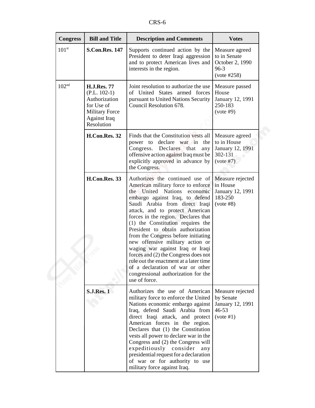| <b>Congress</b>   | <b>Bill and Title</b>                                                                                                             | <b>Description and Comments</b>                                                                                                                                                                                                                                                                                                                                                                                                                                                                                                                                                                                                         | <b>Votes</b>                                                               |
|-------------------|-----------------------------------------------------------------------------------------------------------------------------------|-----------------------------------------------------------------------------------------------------------------------------------------------------------------------------------------------------------------------------------------------------------------------------------------------------------------------------------------------------------------------------------------------------------------------------------------------------------------------------------------------------------------------------------------------------------------------------------------------------------------------------------------|----------------------------------------------------------------------------|
| 101 <sup>st</sup> | <b>S.Con.Res. 147</b>                                                                                                             | Supports continued action by the<br>President to deter Iraqi aggression<br>and to protect American lives and<br>interests in the region.                                                                                                                                                                                                                                                                                                                                                                                                                                                                                                | Measure agreed<br>to in Senate<br>October 2, 1990<br>$96-3$<br>(vote #258) |
| 102 <sup>nd</sup> | <b>H.J.Res. 77</b><br>$(P.L. 102-1)$<br>Authorization<br>for Use of<br><b>Military Force</b><br><b>Against Iraq</b><br>Resolution | Joint resolution to authorize the use<br>of United States armed forces<br>pursuant to United Nations Security<br>Council Resolution 678.                                                                                                                                                                                                                                                                                                                                                                                                                                                                                                | Measure passed<br>House<br>January 12, 1991<br>250-183<br>(vote #9)        |
|                   | H.Con.Res. 32                                                                                                                     | Finds that the Constitution vests all<br>declare war in<br>power to<br>the<br>Declares that<br>Congress.<br>any<br>offensive action against Iraq must be<br>explicitly approved in advance by<br>the Congress.                                                                                                                                                                                                                                                                                                                                                                                                                          | Measure agreed<br>to in House<br>January 12, 1991<br>302-131<br>(vote #7)  |
|                   | H.Con.Res. 33                                                                                                                     | Authorizes the continued use of<br>American military force to enforce<br>the United<br><b>Nations</b><br>economic<br>embargo against Iraq, to defend<br>Saudi Arabia from direct Iraqi<br>attack, and to protect American<br>forces in the region. Declares that<br>(1) the Constitution requires the<br>President to obtain authorization<br>from the Congress before initiating<br>new offensive military action or<br>waging war against Iraq or Iraqi<br>forces and (2) the Congress does not<br>rule out the enactment at a later time<br>of a declaration of war or other<br>congressional authorization for the<br>use of force. | Measure rejected<br>in House<br>January 12, 1991<br>183-250<br>(vote #8)   |
|                   | <b>S.J.Res. 1</b>                                                                                                                 | Authorizes the use of American<br>military force to enforce the United<br>Nations economic embargo against<br>Iraq, defend Saudi Arabia from<br>direct Iraqi attack, and protect<br>American forces in the region.<br>Declares that (1) the Constitution<br>vests all power to declare war in the<br>Congress and (2) the Congress will<br>expeditiously consider<br>any<br>presidential request for a declaration<br>of war or for authority to use<br>military force against Iraq.                                                                                                                                                    | Measure rejected<br>by Senate<br>January 12, 1991<br>46-53<br>(vote #1)    |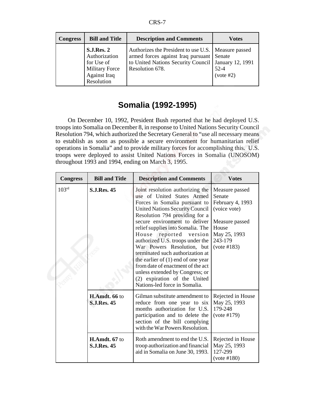| <b>Congress</b> | <b>Bill and Title</b>                                                                                          | <b>Description and Comments</b>                                                                                                                             | Votes                                     |
|-----------------|----------------------------------------------------------------------------------------------------------------|-------------------------------------------------------------------------------------------------------------------------------------------------------------|-------------------------------------------|
|                 | <b>S.J.Res. 2</b><br>Authorization<br>for Use of<br><b>Military Force</b><br><b>Against Iraq</b><br>Resolution | Authorizes the President to use U.S.   Measure passed<br>armed forces against Iraq pursuant Senate<br>to United Nations Security Council<br>Resolution 678. | January 12, 1991<br>$52 - 4$<br>(vote #2) |

## **Somalia (1992-1995)**

On December 10, 1992, President Bush reported that he had deployed U.S. troops into Somalia on December 8, in response to United Nations Security Council Resolution 794, which authorized the Secretary General to "use all necessary means to establish as soon as possible a secure environment for humanitarian relief operations in Somalia" and to provide military forces for accomplishing this. U.S. troops were deployed to assist United Nations Forces in Somalia (UNOSOM) throughout 1993 and 1994, ending on March 3, 1995.

| <b>Congress</b>   | <b>Bill and Title</b>               | <b>Description and Comments</b>                                                                                                                                                                                                                                                                                                                                                                                                                                                                                                                                          | <b>Votes</b>                                                                                                                      |
|-------------------|-------------------------------------|--------------------------------------------------------------------------------------------------------------------------------------------------------------------------------------------------------------------------------------------------------------------------------------------------------------------------------------------------------------------------------------------------------------------------------------------------------------------------------------------------------------------------------------------------------------------------|-----------------------------------------------------------------------------------------------------------------------------------|
| 103 <sup>rd</sup> | <b>S.J.Res. 45</b>                  | Joint resolution authorizing the<br>use of United States Armed<br>Forces in Somalia pursuant to<br><b>United Nations Security Council</b><br>Resolution 794 providing for a<br>secure environment to deliver<br>relief supplies into Somalia. The<br>House<br>reported<br>version<br>authorized U.S. troops under the<br>War Powers Resolution, but<br>terminated such authorization at<br>the earlier of $(1)$ end of one year<br>from date of enactment of the act<br>unless extended by Congress; or<br>(2) expiration of the United<br>Nations-led force in Somalia. | Measure passed<br>Senate<br>February 4, 1993<br>(voice vote)<br>Measure passed<br>House<br>May 25, 1993<br>243-179<br>(vote #183) |
|                   | H.Amdt. 66 to<br><b>S.LRes. 45</b>  | Gilman substitute amendment to<br>reduce from one year to six<br>months authorization for U.S.<br>participation and to delete the<br>section of the bill complying<br>with the War Powers Resolution.                                                                                                                                                                                                                                                                                                                                                                    | Rejected in House<br>May 25, 1993<br>179-248<br>(vote #179)                                                                       |
|                   | H.Amdt. 67 to<br><b>S.J.Res. 45</b> | Roth amendment to end the U.S.<br>troop authorization and financial<br>aid in Somalia on June 30, 1993.                                                                                                                                                                                                                                                                                                                                                                                                                                                                  | Rejected in House<br>May 25, 1993<br>127-299<br>(vote #180)                                                                       |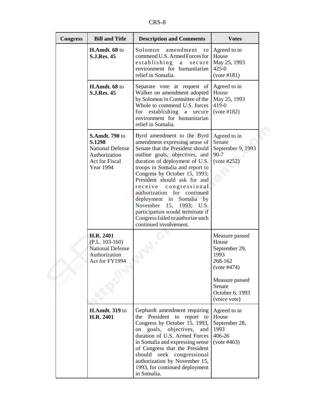| ٠ |  |
|---|--|
|---|--|

| <b>Congress</b> | <b>Bill and Title</b>                                                                                                    | <b>Description and Comments</b>                                                                                                                                                                                                                                                                                                                                                                                                                                                                    | <b>Votes</b>                                                                                                                              |
|-----------------|--------------------------------------------------------------------------------------------------------------------------|----------------------------------------------------------------------------------------------------------------------------------------------------------------------------------------------------------------------------------------------------------------------------------------------------------------------------------------------------------------------------------------------------------------------------------------------------------------------------------------------------|-------------------------------------------------------------------------------------------------------------------------------------------|
|                 | H.Amdt. 68 to<br><b>S.J.Res. 45</b>                                                                                      | Solomon<br>amendment<br>to<br>commend U.S. Armed Forces for<br>establishing<br>a<br>secure<br>environment for humanitarian<br>relief in Somalia.                                                                                                                                                                                                                                                                                                                                                   | Agreed to in<br>House<br>May 25, 1993<br>$425 - 0$<br>(vote #181)                                                                         |
|                 | H.Amdt. 68 to<br><b>S.J.Res. 45</b>                                                                                      | Separate vote at request of<br>Walker on amendment adopted<br>by Solomon in Committee of the<br>Whole to commend U.S. forces<br>for establishing a secure<br>environment for humanitarian<br>relief in Somalia.                                                                                                                                                                                                                                                                                    | Agreed to in<br>House<br>May 25, 1993<br>419-0<br>(vote #182)                                                                             |
|                 | <b>S.Amdt. 790 to</b><br>S.1298<br><b>National Defense</b><br>Authorization<br><b>Act for Fiscal</b><br><b>Year 1994</b> | Byrd amendment to the Byrd<br>amendment expressing sense of<br>Senate that the President should<br>outline goals, objectives, and<br>duration of deployment of U.S.<br>troops in Somalia and report to<br>Congress by October 15, 1993;<br>President should ask for and<br>receive<br>congressional<br>authorization for continued<br>deployment in Somalia by<br>November<br>15,<br>1993; U.S.<br>participation would terminate if<br>Congress failed to authorize such<br>continued involvement. | Agreed to in<br>Senate<br>September 9, 1993<br>$90 - 7$<br>(vote #252)                                                                    |
|                 | H.R. 2401<br>$(P.L. 103-160)$<br><b>National Defense</b><br>Authorization<br>Act for FY1994                              |                                                                                                                                                                                                                                                                                                                                                                                                                                                                                                    | Measure passed<br>House<br>September 29,<br>1993<br>268-162<br>(vote #474)<br>Measure passed<br>Senate<br>October 6, 1993<br>(voice vote) |
|                 | <b>H.Amdt. 319 to</b><br>H.R. 2401                                                                                       | Gephardt amendment requiring<br>the President to report to<br>Congress by October 15, 1993,<br>goals, objectives,<br>on<br>and<br>duration of U.S. Armed Forces<br>in Somalia and expressing sense<br>of Congress that the President<br>should seek congressional<br>authorization by November 15,<br>1993, for continued deployment<br>in Somalia.                                                                                                                                                | Agreed to in<br>House<br>September 28,<br>1993<br>406-26<br>(vote #463)                                                                   |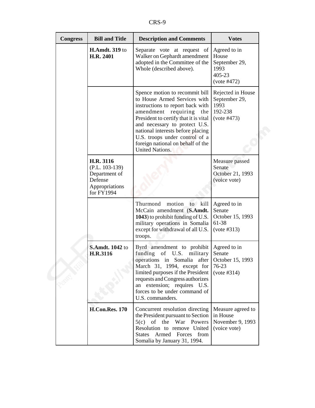| <b>Congress</b> | <b>Bill and Title</b>                                                                     | <b>Description and Comments</b>                                                                                                                                                                                                                                                                                                                     | <b>Votes</b>                                                            |
|-----------------|-------------------------------------------------------------------------------------------|-----------------------------------------------------------------------------------------------------------------------------------------------------------------------------------------------------------------------------------------------------------------------------------------------------------------------------------------------------|-------------------------------------------------------------------------|
|                 | <b>H.Amdt. 319 to</b><br>H.R. 2401                                                        | Separate vote at request of<br>Walker on Gephardt amendment<br>adopted in the Committee of the<br>Whole (described above).                                                                                                                                                                                                                          | Agreed to in<br>House<br>September 29,<br>1993<br>405-23<br>(vote #472) |
|                 |                                                                                           | Spence motion to recommit bill<br>to House Armed Services with<br>instructions to report back with<br>amendment<br>requiring<br>the<br>President to certify that it is vital<br>and necessary to protect U.S.<br>national interests before placing<br>U.S. troops under control of a<br>foreign national on behalf of the<br><b>United Nations.</b> | Rejected in House<br>September 29,<br>1993<br>192-238<br>(vote #473)    |
|                 | H.R. 3116<br>$(P.L. 103-139)$<br>Department of<br>Defense<br>Appropriations<br>for FY1994 |                                                                                                                                                                                                                                                                                                                                                     | Measure passed<br>Senate<br>October 21, 1993<br>(voice vote)            |
|                 |                                                                                           | motion<br>Thurmond<br>kill<br>to<br>McCain amendment (S.Amdt.<br>1043) to prohibit funding of U.S.<br>military operations in Somalia<br>except for withdrawal of all U.S.<br>troops.                                                                                                                                                                | Agreed to in<br>Senate<br>October 15, 1993<br>61-38<br>(vote #313)      |
|                 | <b>S.Amdt. 1042 to</b><br>H.R.3116                                                        | Byrd amendment to prohibit<br>funding<br>of<br>U.S.<br>military<br>operations in Somalia<br>after<br>March 31, 1994, except for<br>limited purposes if the President<br>requests and Congress authorizes<br>an extension; requires U.S.<br>forces to be under command of<br>U.S. commanders.                                                        | Agreed to in<br>Senate<br>October 15, 1993<br>76-23<br>(vote #314)      |
|                 | <b>H.Con.Res. 170</b>                                                                     | Concurrent resolution directing<br>the President pursuant to Section<br>of the War Powers<br>5(c)<br>Resolution to remove United<br>Armed Forces from<br><b>States</b><br>Somalia by January 31, 1994.                                                                                                                                              | Measure agreed to<br>in House<br>November 9, 1993<br>(voice vote)       |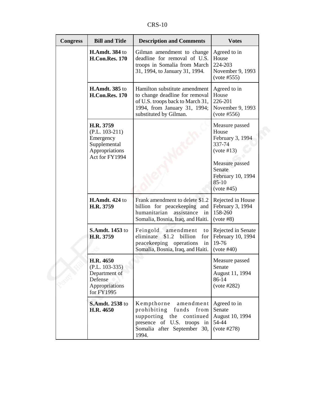CRS-10

| <b>Congress</b> | <b>Bill and Title</b>                                                                          | <b>Description and Comments</b>                                                                                                                                 | <b>Votes</b>                                                                                                                                    |
|-----------------|------------------------------------------------------------------------------------------------|-----------------------------------------------------------------------------------------------------------------------------------------------------------------|-------------------------------------------------------------------------------------------------------------------------------------------------|
|                 | <b>H.Amdt.</b> 384 to<br><b>H.Con.Res. 170</b>                                                 | Gilman amendment to change<br>deadline for removal of U.S.<br>troops in Somalia from March<br>31, 1994, to January 31, 1994.                                    | Agreed to in<br>House<br>224-203<br>November 9, 1993<br>(vote #555)                                                                             |
|                 | <b>H.Amdt.</b> 385 to<br><b>H.Con.Res. 170</b>                                                 | Hamilton substitute amendment<br>to change deadline for removal<br>of U.S. troops back to March 31,<br>1994, from January 31, 1994;<br>substituted by Gilman.   | Agreed to in<br>House<br>226-201<br>November 9, 1993<br>(vote #556)                                                                             |
|                 | H.R. 3759<br>$(P.L. 103-211)$<br>Emergency<br>Supplemental<br>Appropriations<br>Act for FY1994 |                                                                                                                                                                 | Measure passed<br>House<br>February 3, 1994<br>337-74<br>(vote #13)<br>Measure passed<br>Senate<br>February 10, 1994<br>$85 - 10$<br>(vote #45) |
|                 | <b>H.Amdt. 424 to</b><br>H.R. 3759                                                             | Frank amendment to delete \$1.2<br>billion for peacekeeping and<br>humanitarian<br>assistance in<br>Somalia, Bosnia, Iraq, and Haiti.                           | Rejected in House<br>February 3, 1994<br>158-260<br>(vote #8)                                                                                   |
|                 | <b>S.Amdt. 1453 to</b><br>H.R. 3759                                                            | Feingold<br>amendment<br>to<br>\$1.2<br>eliminate<br>billion<br>for <sub>l</sub><br>peacekeeping operations<br>in<br>Somalia, Bosnia, Iraq, and Haiti.          | Rejected in Senate<br>February 10, 1994<br>19-76<br>(vote #40)                                                                                  |
|                 | H.R. 4650<br>$(P.L. 103-335)$<br>Department of<br>Defense<br>Appropriations<br>for FY1995      |                                                                                                                                                                 | Measure passed<br>Senate<br>August 11, 1994<br>86-14<br>(vote #282)                                                                             |
|                 | <b>S.Amdt. 2538 to</b><br>H.R. 4650                                                            | Kempthorne<br>amendment<br>prohibiting<br>funds<br>from<br>supporting the<br>continued<br>presence of U.S. troops<br>in<br>Somalia after September 30,<br>1994. | Agreed to in<br>Senate<br>August 10, 1994<br>54-44<br>(vote #278)                                                                               |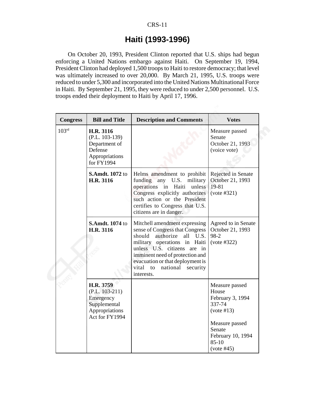#### CRS-11

#### **Haiti (1993-1996)**

On October 20, 1993, President Clinton reported that U.S. ships had begun enforcing a United Nations embargo against Haiti. On September 19, 1994, President Clinton had deployed 1,500 troops to Haiti to restore democracy; that level was ultimately increased to over 20,000. By March 21, 1995, U.S. troops were reduced to under 5,300 and incorporated into the United Nations Multinational Force in Haiti. By September 21, 1995, they were reduced to under 2,500 personnel. U.S. troops ended their deployment to Haiti by April 17, 1996.

| <b>Congress</b>   | <b>Bill and Title</b>                                                                          | <b>Description and Comments</b>                                                                                                                                                                                                                                                                            | <b>Votes</b>                                                                                                                                  |
|-------------------|------------------------------------------------------------------------------------------------|------------------------------------------------------------------------------------------------------------------------------------------------------------------------------------------------------------------------------------------------------------------------------------------------------------|-----------------------------------------------------------------------------------------------------------------------------------------------|
| 103 <sup>rd</sup> | H.R. 3116<br>$(P.L. 103-139)$<br>Department of<br>Defense<br>Appropriations<br>for FY1994      |                                                                                                                                                                                                                                                                                                            | Measure passed<br>Senate<br>October 21, 1993<br>(voice vote)                                                                                  |
|                   | <b>S.Amdt. 1072 to</b><br>H.R. 3116                                                            | Helms amendment to prohibit<br>funding any U.S.<br>military<br>operations in Haiti<br>unless<br>Congress explicitly authorizes<br>such action or the President<br>certifies to Congress that U.S.<br>citizens are in danger.                                                                               | Rejected in Senate<br>October 21, 1993<br>19-81<br>(vote #321)                                                                                |
|                   | <b>S.Amdt. 1074 to</b><br>H.R. 3116                                                            | Mitchell amendment expressing<br>sense of Congress that Congress<br>should<br>authorize<br>all<br>U.S.<br>military operations in Haiti<br>unless U.S.<br>citizens<br>in<br>are<br>imminent need of protection and<br>evacuation or that deployment is<br>vital<br>national<br>security<br>to<br>interests. | Agreed to in Senate<br>October 21, 1993<br>98-2<br>(vote #322)                                                                                |
|                   | H.R. 3759<br>$(P.L. 103-211)$<br>Emergency<br>Supplemental<br>Appropriations<br>Act for FY1994 |                                                                                                                                                                                                                                                                                                            | Measure passed<br>House<br>February 3, 1994<br>337-74<br>(vote #13)<br>Measure passed<br>Senate<br>February 10, 1994<br>$85-10$<br>(vote #45) |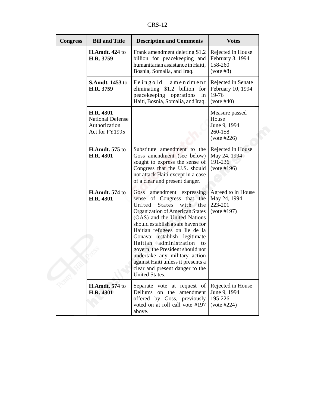CRS-12

| <b>Congress</b> | <b>Bill and Title</b>                                                   | <b>Description and Comments</b>                                                                                                                                                                                                                                                                                                                                                                                                                                         | <b>Votes</b>                                                      |
|-----------------|-------------------------------------------------------------------------|-------------------------------------------------------------------------------------------------------------------------------------------------------------------------------------------------------------------------------------------------------------------------------------------------------------------------------------------------------------------------------------------------------------------------------------------------------------------------|-------------------------------------------------------------------|
|                 | <b>H.Amdt. 424 to</b><br>H.R. 3759                                      | Frank amendment deleting \$1.2<br>billion for peacekeeping and<br>humanitarian assistance in Haiti,<br>Bosnia, Somalia, and Iraq.                                                                                                                                                                                                                                                                                                                                       | Rejected in House<br>February 3, 1994<br>158-260<br>(vote #8)     |
|                 | <b>S.Amdt. 1453 to</b><br>H.R. 3759                                     | Feingold<br>amendment<br>eliminating \$1.2 billion for<br>peacekeeping operations<br>in<br>Haiti, Bosnia, Somalia, and Iraq.                                                                                                                                                                                                                                                                                                                                            | Rejected in Senate<br>February 10, 1994<br>19-76<br>(vote #40)    |
|                 | H.R. 4301<br><b>National Defense</b><br>Authorization<br>Act for FY1995 |                                                                                                                                                                                                                                                                                                                                                                                                                                                                         | Measure passed<br>House<br>June 9, 1994<br>260-158<br>(vote #226) |
|                 | <b>H.Amdt.</b> 575 to<br>H.R. 4301                                      | Substitute amendment to the<br>Goss amendment (see below)<br>sought to express the sense of<br>Congress that the U.S. should<br>not attack Haiti except in a case<br>of a clear and present danger.                                                                                                                                                                                                                                                                     | Rejected in House<br>May 24, 1994<br>191-236<br>(vote #196)       |
|                 | <b>H.Amdt. 574</b> to<br>H.R. 4301                                      | amendment expressing<br>Goss<br>sense of Congress that the<br>United<br><b>States</b><br>with the<br>Organization of American States<br>(OAS) and the United Nations<br>should establish a safe haven for<br>Haitian refugees on Ile de la<br>Gonava; establish legitimate<br>Haitian administration to<br>govern; the President should not<br>undertake any military action<br>against Haiti unless it presents a<br>clear and present danger to the<br>United States. | Agreed to in House<br>May 24, 1994<br>223-201<br>(vote #197)      |
|                 | <b>H.Amdt.</b> 574 to<br><b>H.R. 4301</b>                               | Separate vote at request of<br>Dellums on the<br>amendment<br>offered by Goss, previously<br>voted on at roll call vote #197<br>above.                                                                                                                                                                                                                                                                                                                                  | Rejected in House<br>June 9, 1994<br>195-226<br>(vote #224)       |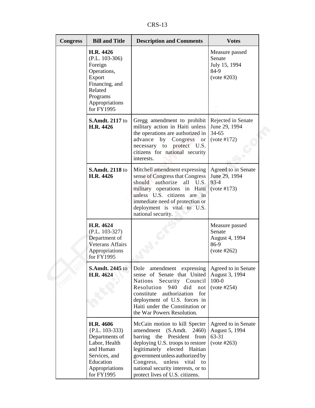CRS-13

| <b>Congress</b> | <b>Bill and Title</b>                                                                                                                         | <b>Description and Comments</b>                                                                                                                                                                                                                                                                                      | <b>Votes</b>                                                      |
|-----------------|-----------------------------------------------------------------------------------------------------------------------------------------------|----------------------------------------------------------------------------------------------------------------------------------------------------------------------------------------------------------------------------------------------------------------------------------------------------------------------|-------------------------------------------------------------------|
|                 | H.R. 4426<br>$(P.L. 103-306)$<br>Foreign<br>Operations,<br>Export<br>Financing, and<br>Related<br>Programs<br>Appropriations<br>for FY1995    |                                                                                                                                                                                                                                                                                                                      | Measure passed<br>Senate<br>July 15, 1994<br>84-9<br>(vote #203)  |
|                 | <b>S.Amdt. 2117 to</b><br>H.R. 4426                                                                                                           | Gregg amendment to prohibit<br>military action in Haiti unless<br>the operations are authorized in<br>advance<br>by<br>Congress<br>or<br>necessary to protect U.S.<br>citizens for national security<br>interests.                                                                                                   | Rejected in Senate<br>June 29, 1994<br>$34 - 65$<br>(vote #172)   |
|                 | <b>S.Amdt. 2118 to</b><br>H.R. 4426                                                                                                           | Mitchell amendment expressing<br>sense of Congress that Congress<br>should authorize all U.S.<br>military operations in Haiti<br>unless U.S. citizens are in<br>immediate need of protection or<br>deployment is vital to U.S.<br>national security.                                                                 | Agreed to in Senate<br>June 29, 1994<br>$93 - 4$<br>(vote #173)   |
|                 | H.R. 4624<br>$(P.L. 103-327)$<br>Department of<br><b>Veterans Affairs</b><br>Appropriations<br>for FY1995                                     |                                                                                                                                                                                                                                                                                                                      | Measure passed<br>Senate<br>August 4, 1994<br>86-9<br>(vote #262) |
|                 | <b>S.Amdt. 2445 to</b><br>H.R. 4624                                                                                                           | amendment expressing<br>Dole<br>sense of Senate that United<br><b>Nations</b><br>Security Council<br>Resolution<br>940<br>did<br>not<br>constitute<br>authorization<br>for<br>deployment of U.S. forces in<br>Haiti under the Constitution or<br>the War Powers Resolution.                                          | Agreed to in Senate<br>August 3, 1994<br>$100 - 0$<br>(vote #254) |
|                 | H.R. 4606<br>$\{P.L. 103-333\}$<br>Departments of<br>Labor, Health<br>and Human<br>Services, and<br>Education<br>Appropriations<br>for FY1995 | McCain motion to kill Specter<br>amendment (S.Amdt.)<br>2460)<br>barring the President<br>from<br>deploying U.S. troops to restore<br>legitimately elected Haitian<br>government unless authorized by<br>Congress,<br>unless<br>vital<br>to<br>national security interests, or to<br>protect lives of U.S. citizens. | Agreed to in Senate<br>August 5, 1994<br>63-31<br>(vote #263)     |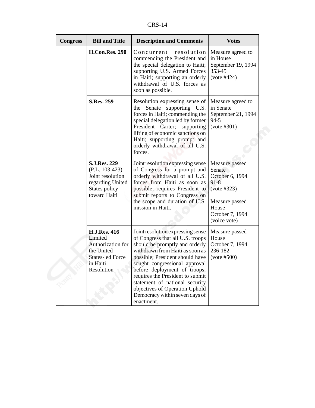CRS-14

| <b>Congress</b> | <b>Bill and Title</b>                                                                                                  | <b>Description and Comments</b>                                                                                                                                                                                                                                                                                                                                                                        | <b>Votes</b>                                                                                                                         |
|-----------------|------------------------------------------------------------------------------------------------------------------------|--------------------------------------------------------------------------------------------------------------------------------------------------------------------------------------------------------------------------------------------------------------------------------------------------------------------------------------------------------------------------------------------------------|--------------------------------------------------------------------------------------------------------------------------------------|
|                 | <b>H.Con.Res. 290</b>                                                                                                  | Concurrent<br>resolution<br>commending the President and<br>the special delegation to Haiti;<br>supporting U.S. Armed Forces<br>in Haiti; supporting an orderly<br>withdrawal of U.S. forces as<br>soon as possible.                                                                                                                                                                                   | Measure agreed to<br>in House<br>September 19, 1994<br>353-45<br>(vote #424)                                                         |
|                 | <b>S.Res. 259</b>                                                                                                      | Resolution expressing sense of<br>the Senate supporting U.S.<br>forces in Haiti; commending the<br>special delegation led by former<br>President Carter; supporting<br>lifting of economic sanctions on<br>Haiti; supporting prompt and<br>orderly withdrawal of all U.S.<br>forces.                                                                                                                   | Measure agreed to<br>in Senate<br>September 21, 1994<br>$94 - 5$<br>(vote #301)                                                      |
|                 | <b>S.J.Res. 229</b><br>$(P.L. 103-423)$<br>Joint resolution<br>regarding United<br>States policy<br>toward Haiti       | Joint resolution expressing sense<br>of Congress for a prompt and<br>orderly withdrawal of all U.S.<br>forces from Haiti as soon as<br>possible; requires President to<br>submit reports to Congress on<br>the scope and duration of U.S.<br>mission in Haiti.                                                                                                                                         | Measure passed<br>Senate<br>October 6, 1994<br>$91 - 8$<br>(vote #323)<br>Measure passed<br>House<br>October 7, 1994<br>(voice vote) |
|                 | <b>H.J.Res. 416</b><br>Limited<br>Authorization for<br>the United<br><b>States-led Force</b><br>in Haiti<br>Resolution | Joint resolution expressing sense<br>of Congress that all U.S. troops<br>should be promptly and orderly<br>withdrawn from Haiti as soon as<br>possible; President should have<br>sought congressional approval<br>before deployment of troops;<br>requires the President to submit<br>statement of national security<br>objectives of Operation Uphold<br>Democracy within seven days of<br>enactment. | Measure passed<br>House<br>October 7, 1994<br>236-182<br>(vote #500)                                                                 |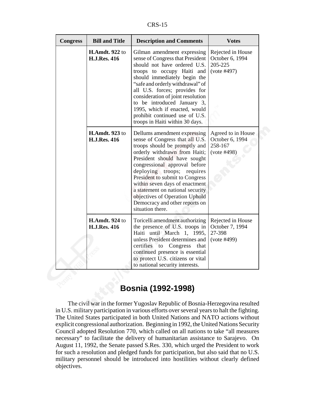CRS-15

| <b>Congress</b> | <b>Bill and Title</b>                        | <b>Description and Comments</b>                                                                                                                                                                                                                                                                                                                                                                                                      | <b>Votes</b>                                                    |
|-----------------|----------------------------------------------|--------------------------------------------------------------------------------------------------------------------------------------------------------------------------------------------------------------------------------------------------------------------------------------------------------------------------------------------------------------------------------------------------------------------------------------|-----------------------------------------------------------------|
|                 | H.Amdt. 922 to<br><b>H.J.Res. 416</b>        | Gilman amendment expressing<br>sense of Congress that President<br>should not have ordered U.S.<br>troops to occupy Haiti and<br>should immediately begin the<br>"safe and orderly withdrawal" of<br>all U.S. forces; provides for<br>consideration of joint resolution<br>to be introduced January 3,<br>1995, which if enacted, would<br>prohibit continued use of U.S.<br>troops in Haiti within 30 days.                         | Rejected in House<br>October 6, 1994<br>205-225<br>(vote #497)  |
|                 | <b>H.Amdt.</b> 923 to<br><b>H.J.Res. 416</b> | Dellums amendment expressing<br>sense of Congress that all U.S.<br>troops should be promptly and<br>orderly withdrawn from Haiti;<br>President should have sought<br>congressional approval before<br>deploying troops;<br>requires<br>President to submit to Congress<br>within seven days of enactment<br>a statement on national security<br>objectives of Operation Uphold<br>Democracy and other reports on<br>situation there. | Agreed to in House<br>October 6, 1994<br>258-167<br>(vote #498) |
|                 | <b>H.Amdt. 924 to</b><br><b>H.J.Res. 416</b> | Toricelli amendment authorizing<br>the presence of U.S. troops in<br>Haiti until March 1, 1995,<br>unless President determines and<br>certifies to Congress<br>that<br>continued presence is essential<br>to protect U.S. citizens or vital<br>to national security interests.                                                                                                                                                       | Rejected in House<br>October 7, 1994<br>27-398<br>(vote #499)   |

## **Bosnia (1992-1998)**

The civil war in the former Yugoslav Republic of Bosnia-Herzegovina resulted in U.S. military participation in various efforts over several years to halt the fighting. The United States participated in both United Nations and NATO actions without explicit congressional authorization. Beginning in 1992, the United Nations Security Council adopted Resolution 770, which called on all nations to take "all measures necessary" to facilitate the delivery of humanitarian assistance to Sarajevo. On August 11, 1992, the Senate passed S.Res. 330, which urged the President to work for such a resolution and pledged funds for participation, but also said that no U.S. military personnel should be introduced into hostilities without clearly defined objectives.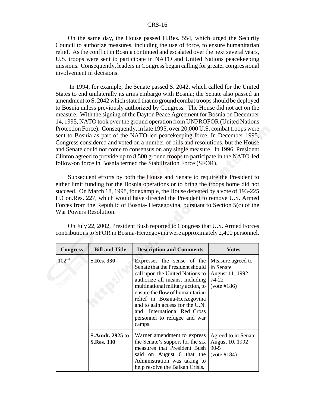#### CRS-16

On the same day, the House passed H.Res. 554, which urged the Security Council to authorize measures, including the use of force, to ensure humanitarian relief. As the conflict in Bosnia continued and escalated over the next several years, U.S. troops were sent to participate in NATO and United Nations peacekeeping missions. Consequently, leaders in Congress began calling for greater congressional involvement in decisions.

 In 1994, for example, the Senate passed S. 2042, which called for the United States to end unilaterally its arms embargo with Bosnia; the Senate also passed an amendment to S. 2042 which stated that no ground combat troops should be deployed to Bosnia unless previously authorized by Congress. The House did not act on the measure. With the signing of the Dayton Peace Agreement for Bosnia on December 14, 1995, NATO took over the ground operation from UNPROFOR (United Nations Protection Force). Consequently, in late 1995, over 20,000 U.S. combat troops were sent to Bosnia as part of the NATO-led peacekeeping force. In December 1995, Congress considered and voted on a number of bills and resolutions, but the House and Senate could not come to consensus on any single measure. In 1996, President Clinton agreed to provide up to 8,500 ground troops to participate in the NATO-led follow-on force in Bosnia termed the Stabilization Force (SFOR).

Subsequent efforts by both the House and Senate to require the President to either limit funding for the Bosnia operations or to bring the troops home did not succeed. On March 18, 1998, for example, the House defeated by a vote of 193-225 H.Con.Res. 227, which would have directed the President to remove U.S. Armed Forces from the Republic of Bosnia- Herzegovina, pursuant to Section 5(c) of the War Powers Resolution.

| <b>Congress</b>   | <b>Bill and Title</b>                       | <b>Description and Comments</b>                                                                                                                                                                                                                                                                                                                         | <b>Votes</b>                                                              |
|-------------------|---------------------------------------------|---------------------------------------------------------------------------------------------------------------------------------------------------------------------------------------------------------------------------------------------------------------------------------------------------------------------------------------------------------|---------------------------------------------------------------------------|
| 102 <sup>nd</sup> | <b>S.Res. 330</b>                           | Expresses the sense of the<br>Senate that the President should<br>call upon the United Nations to<br>authorize all means, including<br>multinational military action, to<br>ensure the flow of humanitarian<br>relief in Bosnia-Herzegovina<br>and to gain access for the U.N.<br>and International Red Cross<br>personnel to refugee and war<br>camps. | Measure agreed to<br>in Senate<br>August 11, 1992<br>74-22<br>(vote #186) |
|                   | <b>S.Amdt. 2925</b> to<br><b>S.Res. 330</b> | Warner amendment to express<br>the Senate's support for the six<br>measures that President Bush<br>said on August 6 that the<br>Administration was taking to<br>help resolve the Balkan Crisis.                                                                                                                                                         | Agreed to in Senate<br>August 10, 1992<br>$90 - 5$<br>(vote #184)         |

On July 22, 2002, President Bush reported to Congress that U.S. Armed Forces contributions to SFOR in Bosnia-Herzegovina were approximately 2,400 personnel.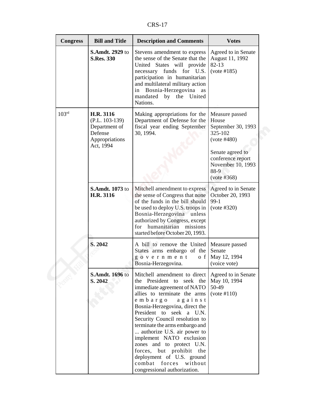CRS-17

| <b>Congress</b>   | <b>Bill and Title</b>                                                                    | <b>Description and Comments</b>                                                                                                                                                                                                                                                                                                                                                                                                                                                                     | <b>Votes</b>                                                                                                                                                 |
|-------------------|------------------------------------------------------------------------------------------|-----------------------------------------------------------------------------------------------------------------------------------------------------------------------------------------------------------------------------------------------------------------------------------------------------------------------------------------------------------------------------------------------------------------------------------------------------------------------------------------------------|--------------------------------------------------------------------------------------------------------------------------------------------------------------|
|                   | <b>S.Amdt. 2929 to</b><br><b>S.Res. 330</b>                                              | Stevens amendment to express<br>the sense of the Senate that the<br>United States will provide<br>necessary funds for U.S.<br>participation in humanitarian<br>and multilateral military action<br>in Bosnia-Herzegovina as<br>mandated<br>by the United<br>Nations.                                                                                                                                                                                                                                | Agreed to in Senate<br>August 11, 1992<br>$82 - 13$<br>(vote #185)                                                                                           |
| 103 <sup>rd</sup> | H.R. 3116<br>$(P.L. 103-139)$<br>Department of<br>Defense<br>Appropriations<br>Act, 1994 | Making appropriations for the<br>Department of Defense for the<br>fiscal year ending September<br>30, 1994.                                                                                                                                                                                                                                                                                                                                                                                         | Measure passed<br>House<br>September 30, 1993<br>325-102<br>(vote #480)<br>Senate agreed to<br>conference report<br>November 10, 1993<br>88-9<br>(vote #368) |
|                   | <b>S.Amdt. 1073</b> to<br>H.R. 3116                                                      | Mitchell amendment to express<br>the sense of Congress that none<br>of the funds in the bill should<br>be used to deploy U.S. troops in<br>Bosnia-Herzegovina unless<br>authorized by Congress, except<br>humanitarian<br>missions<br>for<br>started before October 20, 1993.                                                                                                                                                                                                                       | Agreed to in Senate<br>October 20, 1993<br>99-1<br>(vote #320)                                                                                               |
|                   | S. 2042                                                                                  | A bill to remove the United<br>States arms embargo of the<br>government<br>o f<br>Bosnia-Herzegovina.                                                                                                                                                                                                                                                                                                                                                                                               | Measure passed<br>Senate<br>May 12, 1994<br>(voice vote)                                                                                                     |
|                   | <b>S.Amdt. 1696 to</b><br>S. 2042                                                        | Mitchell amendment to direct<br>President<br>seek the<br>to<br>the<br>immediate agreement of NATO<br>allies to terminate the arms<br>embargo<br>against<br>Bosnia-Herzegovina, direct the<br>President to seek a U.N.<br>Security Council resolution to<br>terminate the arms embargo and<br>authorize U.S. air power to<br>implement NATO exclusion<br>zones and to protect U.N.<br>forces, but prohibit the<br>deployment of U.S. ground<br>combat forces without<br>congressional authorization. | Agreed to in Senate<br>May 10, 1994<br>50-49<br>(vote #110)                                                                                                  |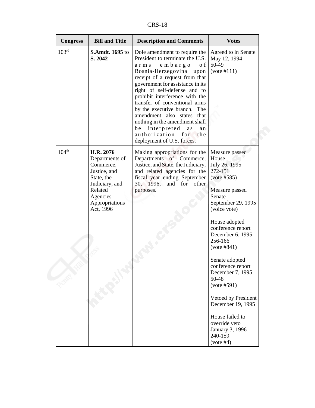CRS-18

| <b>Congress</b>   | <b>Bill and Title</b>                                                                                                                          | <b>Description and Comments</b>                                                                                                                                                                                                                                                                                                                                                                                                                                                            | <b>Votes</b>                                                                                                                                                                                                                                                                                                                                                                                                              |
|-------------------|------------------------------------------------------------------------------------------------------------------------------------------------|--------------------------------------------------------------------------------------------------------------------------------------------------------------------------------------------------------------------------------------------------------------------------------------------------------------------------------------------------------------------------------------------------------------------------------------------------------------------------------------------|---------------------------------------------------------------------------------------------------------------------------------------------------------------------------------------------------------------------------------------------------------------------------------------------------------------------------------------------------------------------------------------------------------------------------|
| 103 <sup>rd</sup> | S.Amdt. 1695 to<br>S. 2042                                                                                                                     | Dole amendment to require the<br>President to terminate the U.S.<br>embargo<br>o f<br>arms<br>Bosnia-Herzegovina<br>upon<br>receipt of a request from that<br>government for assistance in its<br>right of self-defense and to<br>prohibit interference with the<br>transfer of conventional arms<br>by the executive branch. The<br>amendment also states that<br>nothing in the amendment shall<br>be interpreted<br>a s<br>an<br>authorization for<br>the<br>deployment of U.S. forces. | Agreed to in Senate<br>May 12, 1994<br>50-49<br>(vote #111)                                                                                                                                                                                                                                                                                                                                                               |
| $104^{th}$        | H.R. 2076<br>Departments of<br>Commerce,<br>Justice, and<br>State, the<br>Judiciary, and<br>Related<br>Agencies<br>Appropriations<br>Act, 1996 | Making appropriations for the<br>Departments of Commerce,<br>Justice, and State, the Judiciary,<br>and related agencies for the<br>fiscal year ending September<br>30, 1996, and for other<br>purposes.                                                                                                                                                                                                                                                                                    | Measure passed<br>House<br>July 26, 1995<br>272-151<br>(vote #585)<br>Measure passed<br>Senate<br>September 29, 1995<br>(voice vote)<br>House adopted<br>conference report<br>December 6, 1995<br>256-166<br>(vote #841)<br>Senate adopted<br>conference report<br>December 7, 1995<br>50-48<br>(vote #591)<br>Vetoed by President<br>December 19, 1995<br>House failed to<br>override veto<br>January 3, 1996<br>240-159 |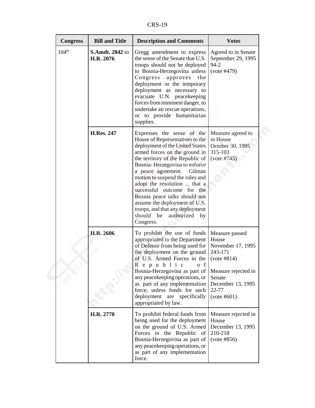CRS-19

| <b>Congress</b>   | <b>Bill and Title</b>               | <b>Description and Comments</b>                                                                                                                                                                                                                                                                                                                                                                                                                                                         | <b>Votes</b>                                                                                                                                         |
|-------------------|-------------------------------------|-----------------------------------------------------------------------------------------------------------------------------------------------------------------------------------------------------------------------------------------------------------------------------------------------------------------------------------------------------------------------------------------------------------------------------------------------------------------------------------------|------------------------------------------------------------------------------------------------------------------------------------------------------|
| 104 <sup>th</sup> | <b>S.Amdt. 2842 to</b><br>H.R. 2076 | Gregg amendment to express<br>the sense of the Senate that U.S.<br>troops should not be deployed<br>to Bosnia-Herzegovina unless<br>Congress<br>approves<br>the<br>deployment or the temporary<br>deployment as necessary to<br>evacuate U.N. peacekeeping<br>forces from imminent danger, to<br>undertake air rescue operations,<br>or to provide humanitarian<br>supplies.                                                                                                            | Agreed to in Senate<br>September 29, 1995<br>$94 - 2$<br>(vote #479)                                                                                 |
|                   | <b>H.Res. 247</b>                   | Expresses the sense of the<br>House of Representatives to the<br>deployment of the United States<br>armed forces on the ground in<br>the territory of the Republic of<br>Bosnia-Herzegovina to enforce<br>a peace agreement.<br>Gilman<br>motion to suspend the rules and<br>adopt the resolution  that a<br>successful outcome for the<br>Bosnia peace talks should not<br>assume the deployment of U.S.<br>troops, and that any deployment<br>should be authorized<br>by<br>Congress. | Measure agreed to<br>in House<br>October 30, 1995<br>315-103<br>(vote #745)                                                                          |
|                   | H.R. 2606                           | To prohibit the use of funds<br>appropriated to the Department<br>of Defense from being used for<br>the deployment on the ground<br>of U.S. Armed Forces in the<br>Republic of<br>Bosnia-Herzegovina as part of<br>any peacekeeping operations, or<br>as part of any implementation<br>force, unless funds for such<br>deployment are specifically<br>appropriated by law.                                                                                                              | Measure passed<br>House<br>November 17, 1995<br>243-171<br>(vote #814)<br>Measure rejected in<br>Senate<br>December 13, 1995<br>22-77<br>(vote #601) |
|                   | H.R. 2770                           | To prohibit federal funds from<br>being used for the deployment<br>on the ground of U.S. Armed<br>Forces in the Republic of<br>Bosnia-Herzegovina as part of<br>any peacekeeping operations, or<br>as part of any implementation<br>force.                                                                                                                                                                                                                                              | Measure rejected in<br>House<br>December 13, 1995<br>210-218<br>(vote #856)                                                                          |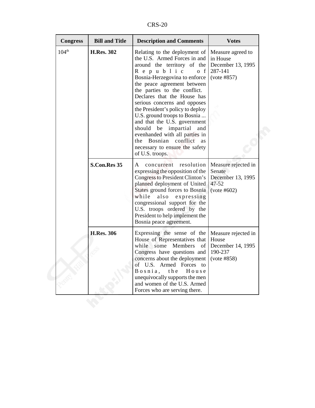CRS-20

| <b>Bill and Title</b><br><b>Congress</b> | <b>Description and Comments</b>                                                                                                                                                                                                                                                                                                                                                                                                                                                                                                         | <b>Votes</b>                                                                   |
|------------------------------------------|-----------------------------------------------------------------------------------------------------------------------------------------------------------------------------------------------------------------------------------------------------------------------------------------------------------------------------------------------------------------------------------------------------------------------------------------------------------------------------------------------------------------------------------------|--------------------------------------------------------------------------------|
| 104 <sup>th</sup><br><b>H.Res. 302</b>   | Relating to the deployment of<br>the U.S. Armed Forces in and<br>around the territory of the<br>Republic<br>$o \t f$<br>Bosnia-Herzegovina to enforce<br>the peace agreement between<br>the parties to the conflict.<br>Declares that the House has<br>serious concerns and opposes<br>the President's policy to deploy<br>U.S. ground troops to Bosnia<br>and that the U.S. government<br>should be impartial<br>and<br>evenhanded with all parties in<br>the Bosnian conflict as<br>necessary to ensure the safety<br>of U.S. troops. | Measure agreed to<br>in House<br>December 13, 1995<br>287-141<br>(vote #857)   |
| S.Con.Res 35                             | concurrent resolution<br>A<br>expressing the opposition of the<br>Congress to President Clinton's<br>planned deployment of United<br>States ground forces to Bosnia<br>while also expressing<br>congressional support for the<br>U.S. troops ordered by the<br>President to help implement the<br>Bosnia peace agreement.                                                                                                                                                                                                               | Measure rejected in<br>Senate<br>December 13, 1995<br>$47 - 52$<br>(vote #602) |
| <b>H.Res. 306</b>                        | Expressing the sense of the<br>House of Representatives that<br>while some Members of<br>Congress have questions and<br>concerns about the deployment<br>of U.S. Armed Forces to<br>the<br>House<br>$B$ o s $n$ i $a$ ,<br>unequivocally supports the men<br>and women of the U.S. Armed<br>Forces who are serving there.                                                                                                                                                                                                               | Measure rejected in<br>House<br>December 14, 1995<br>190-237<br>(vote #858)    |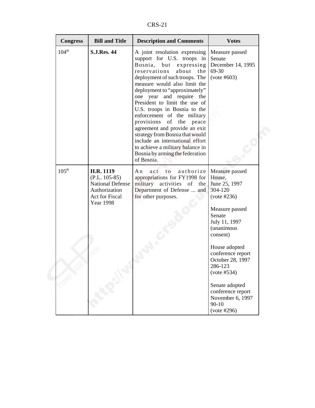CRS-21

| <b>Congress</b>   | <b>Bill and Title</b>                                                                                                 | <b>Description and Comments</b>                                                                                                                                                                                                                                                                                                                                                                                                                                                                                                                                                   | <b>Votes</b>                                                                                                                                                            |
|-------------------|-----------------------------------------------------------------------------------------------------------------------|-----------------------------------------------------------------------------------------------------------------------------------------------------------------------------------------------------------------------------------------------------------------------------------------------------------------------------------------------------------------------------------------------------------------------------------------------------------------------------------------------------------------------------------------------------------------------------------|-------------------------------------------------------------------------------------------------------------------------------------------------------------------------|
| 104 <sup>th</sup> | <b>S.J.Res. 44</b>                                                                                                    | A joint resolution expressing<br>support for U.S. troops in<br>Bosnia,<br>expressing<br>but<br>reservations<br>about<br>the<br>deployment of such troops. The<br>measure would also limit the<br>deployment to "approximately"<br>one year and require the<br>President to limit the use of<br>U.S. troops in Bosnia to the<br>enforcement of the military<br>provisions of the peace<br>agreement and provide an exit<br>strategy from Bosnia that would<br>include an international effort<br>to achieve a military balance in<br>Bosnia by arming the federation<br>of Bosnia. | Measure passed<br>Senate<br>December 14, 1995<br>69-30<br>(vote #603)                                                                                                   |
| $105^{\text{th}}$ | <b>H.R. 1119</b><br>$(P.L. 105-85)$<br><b>National Defense</b><br>Authorization<br>Act for Fiscal<br><b>Year 1998</b> | authorize<br>A n<br>act to<br>appropriations for FY1998 for<br>military activities of the<br>Department of Defense  and<br>for other purposes.                                                                                                                                                                                                                                                                                                                                                                                                                                    | Measure passed<br>House,<br>June 25, 1997<br>304-120<br>(vote #236)<br>Measure passed<br>Senate<br>July 11, 1997<br>(unanimous<br>consent)                              |
|                   |                                                                                                                       |                                                                                                                                                                                                                                                                                                                                                                                                                                                                                                                                                                                   | House adopted<br>conference report<br>October 28, 1997<br>286-123<br>(vote #534)<br>Senate adopted<br>conference report<br>November 6, 1997<br>$90 - 10$<br>(vote #296) |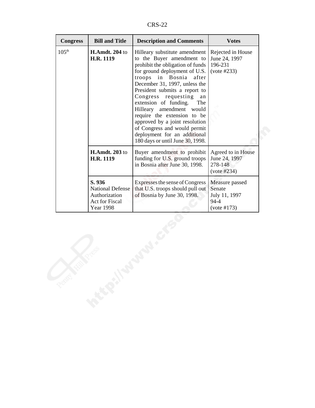CRS-22

| <b>Congress</b>   | <b>Bill and Title</b>                                                             | <b>Description and Comments</b>                                                                                                                                                                                                                                                                                                                                                                                                                                                                             | <b>Votes</b>                                                         |
|-------------------|-----------------------------------------------------------------------------------|-------------------------------------------------------------------------------------------------------------------------------------------------------------------------------------------------------------------------------------------------------------------------------------------------------------------------------------------------------------------------------------------------------------------------------------------------------------------------------------------------------------|----------------------------------------------------------------------|
| 105 <sup>th</sup> | <b>H.Amdt. 204 to</b><br>H.R. 1119                                                | Hilleary substitute amendment<br>to the Buyer amendment to<br>prohibit the obligation of funds<br>for ground deployment of U.S.<br>Bosnia<br>troops<br>in<br>after<br>December 31, 1997, unless the<br>President submits a report to<br>Congress<br>requesting<br>an<br>extension of funding.<br>The<br>amendment<br>Hilleary<br>would<br>require the extension to be<br>approved by a joint resolution<br>of Congress and would permit<br>deployment for an additional<br>180 days or until June 30, 1998. | Rejected in House<br>June 24, 1997<br>196-231<br>(vote #233)         |
|                   | <b>H.Amdt. 203 to</b><br>H.R. 1119                                                | Buyer amendment to prohibit<br>funding for U.S. ground troops<br>in Bosnia after June 30, 1998.                                                                                                                                                                                                                                                                                                                                                                                                             | Agreed to in House<br>June 24, 1997<br>278-148<br>$(vote \#234)$     |
|                   | S. 936<br><b>National Defense</b><br>Authorization<br>Act for Fiscal<br>Year 1998 | Expresses the sense of Congress<br>that U.S. troops should pull out<br>of Bosnia by June 30, 1998.                                                                                                                                                                                                                                                                                                                                                                                                          | Measure passed<br>Senate<br>July 11, 1997<br>$94 - 4$<br>(vote #173) |
| Penny Arts        | <b>PERSITES</b>                                                                   |                                                                                                                                                                                                                                                                                                                                                                                                                                                                                                             |                                                                      |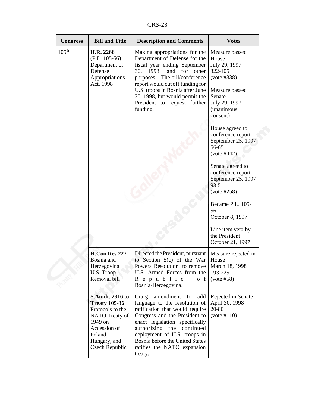CRS-23

| <b>Congress</b>   | <b>Bill and Title</b>                                                                                                                                        | <b>Description and Comments</b>                                                                                                                                                                                                                                                                                              | <b>Votes</b>                                                                                                                                                                                                                                                                        |
|-------------------|--------------------------------------------------------------------------------------------------------------------------------------------------------------|------------------------------------------------------------------------------------------------------------------------------------------------------------------------------------------------------------------------------------------------------------------------------------------------------------------------------|-------------------------------------------------------------------------------------------------------------------------------------------------------------------------------------------------------------------------------------------------------------------------------------|
| 105 <sup>th</sup> | H.R. 2266<br>$(P.L. 105-56)$<br>Department of<br>Defense<br>Appropriations<br>Act, 1998                                                                      | Making appropriations for the<br>Department of Defense for the<br>fiscal year ending September<br>30,<br>1998,<br>and<br>for<br>other<br>purposes. The bill/conference<br>report would cut off funding for<br>U.S. troops in Bosnia after June<br>30, 1998, but would permit the<br>President to request further<br>funding. | Measure passed<br>House<br>July 29, 1997<br>322-105<br>(vote #338)<br>Measure passed<br>Senate<br>July 29, 1997<br><i>(unanimous</i><br>consent)                                                                                                                                    |
|                   |                                                                                                                                                              |                                                                                                                                                                                                                                                                                                                              | House agreed to<br>conference report<br>September 25, 1997<br>56-65<br>(vote #442)<br>Senate agreed to<br>conference report<br>September 25, 1997<br>$93 - 5$<br>(vote #258)<br>Became P.L. 105-<br>56<br>October 8, 1997<br>Line item veto by<br>the President<br>October 21, 1997 |
|                   | H.Con.Res 227<br>Bosnia and<br>Herzegovina<br>U.S. Troop<br>Removal bill                                                                                     | Directed the President, pursuant<br>to Section $5(c)$ of the War<br>Powers Resolution, to remove<br>U.S. Armed Forces from the<br>R e p u b l i c<br>o f<br>Bosnia-Herzegovina.                                                                                                                                              | Measure rejected in<br>House<br>March 18, 1998<br>193-225<br>(vote #58)                                                                                                                                                                                                             |
|                   | <b>S.Amdt. 2316 to</b><br><b>Treaty 105-36</b><br>Protocols to the<br>NATO Treaty of<br>1949 on<br>Accession of<br>Poland,<br>Hungary, and<br>Czech Republic | Craig<br>amendment<br>add<br>to<br>language to the resolution of<br>ratification that would require<br>Congress and the President to<br>enact legislation specifically<br>authorizing the<br>continued<br>deployment of U.S. troops in<br>Bosnia before the United States<br>ratifies the NATO expansion<br>treaty.          | Rejected in Senate<br>April 30, 1998<br>20-80<br>(vote #110)                                                                                                                                                                                                                        |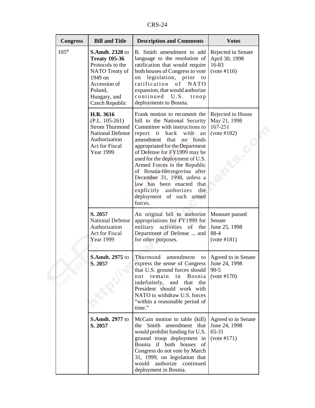| n<br>ı<br>יי<br>×. |
|--------------------|
|--------------------|

| <b>Congress</b>   | <b>Bill and Title</b>                                                                                                                                        | <b>Description and Comments</b>                                                                                                                                                                                                                                                                                                                                                                                                                                             | <b>Votes</b>                                                     |
|-------------------|--------------------------------------------------------------------------------------------------------------------------------------------------------------|-----------------------------------------------------------------------------------------------------------------------------------------------------------------------------------------------------------------------------------------------------------------------------------------------------------------------------------------------------------------------------------------------------------------------------------------------------------------------------|------------------------------------------------------------------|
| 105 <sup>th</sup> | <b>S.Amdt. 2328 to</b><br><b>Treaty 105-36</b><br>Protocols to the<br>NATO Treaty of<br>1949 on<br>Accession of<br>Poland,<br>Hungary, and<br>Czech Republic | B. Smith amendment to add<br>language to the resolution of<br>ratification that would require<br>both houses of Congress to vote<br>legislation, prior to<br>on<br>ratification<br>of<br><b>NATO</b><br>expansion, that would authorize<br>continued<br>U.S.<br>troop<br>deployments to Bosnia.                                                                                                                                                                             | Rejected in Senate<br>April 30, 1998<br>16-83<br>(vote #116)     |
|                   | H.R. 3616<br>$(P.L. 105-261)$<br><b>Strom Thurmond</b><br><b>National Defense</b><br>Authorization<br><b>Act for Fiscal</b><br><b>Year 1999</b>              | Frank motion to recommit the<br>bill to the National Security<br>Committee with instructions to<br>report it back<br>with<br>an<br>amendment<br>that<br>funds<br>no<br>appropriated for the Department<br>of Defense for FY1999 may be<br>used for the deployment of U.S.<br>Armed Forces in the Republic<br>of Bosnia-Herzegovina after<br>December 31, 1998, unless a<br>law has been enacted that<br>explicitly authorizes<br>the<br>deployment of such armed<br>forces. | Rejected in House<br>May 21, 1998<br>167-251<br>(vote #182)      |
|                   | S. 2057<br><b>National Defense</b><br>Authorization<br><b>Act for Fiscal</b><br><b>Year 1999</b>                                                             | An original bill to authorize<br>appropriations for FY1999 for<br>military activities of<br>the<br>Department of Defense  and<br>for other purposes.                                                                                                                                                                                                                                                                                                                        | Measure passed<br>Senate<br>June 25, 1998<br>88-4<br>(vote #181) |
|                   | <b>S.Amdt. 2975 to</b><br>S. 2057                                                                                                                            | Thurmond<br>amendment<br>to<br>express the sense of Congress   June 24, 1998<br>that U.S. ground forces should<br>in<br>remain<br>Bosnia<br>not<br>and that<br>indefinitely,<br>the<br>President should work with<br>NATO to withdraw U.S. forces<br>"within a reasonable period of<br>time."                                                                                                                                                                               | Agreed to in Senate<br>$90 - 5$<br>(vote #170)                   |
|                   | <b>S.Amdt. 2977</b> to<br>S. 2057                                                                                                                            | McCain motion to table (kill)<br>Smith<br>amendment that<br>the<br>would prohibit funding for U.S.<br>ground troop deployment in<br>Bosnia if both houses<br>of<br>Congress do not vote by March<br>31, 1999, on legislation that<br>authorize continued<br>would<br>deployment in Bosnia.                                                                                                                                                                                  | Agreed to in Senate<br>June 24, 1998<br>65-31<br>(vote #171)     |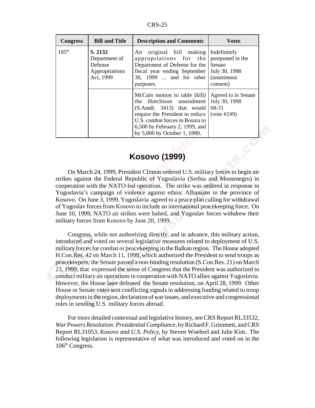| <b>Congress</b>   | <b>Bill and Title</b>                                              | <b>Description and Comments</b>                                                                                                                                                                                                  | <b>Votes</b>                                                                                  |
|-------------------|--------------------------------------------------------------------|----------------------------------------------------------------------------------------------------------------------------------------------------------------------------------------------------------------------------------|-----------------------------------------------------------------------------------------------|
| 105 <sup>th</sup> | S. 2132<br>Department of<br>Defense<br>Appropriations<br>Act, 1999 | original bill making<br>An<br>appropriations for the<br>Department of Defense for the<br>fiscal year ending September<br>30, 1999  and for other<br>purposes.                                                                    | Indefinitely<br>postponed in the<br>Senate<br>July 30, 1998<br><i>(unanimous)</i><br>consent) |
|                   |                                                                    | McCain motion to table (kill)<br>the Hutchison amendment<br>$(S. Amdt. 3413)$ that would<br>require the President to reduce<br>U.S. combat forces in Bosnia to<br>6,500 by February 2, 1999, and<br>by 5,000 by October 1, 1999. | Agreed to in Senate<br>July 30, 1998<br>68-31<br>$(vote \#249)$                               |

#### **Kosovo (1999)**

On March 24, 1999, President Clinton ordered U.S. military forces to begin air strikes against the Federal Republic of Yugoslavia (Serbia and Montenegro) in cooperation with the NATO-led operation. The strike was ordered in response to Yugoslavia's campaign of violence against ethnic Albanians in the province of Kosovo. On June 3, 1999, Yugoslavia agreed to a peace plan calling for withdrawal of Yugoslav forces from Kosovo to include an international peacekeeping force. On June 10, 1999, NATO air strikes were halted, and Yugoslav forces withdrew their military forces from Kosovo by June 20, 1999.

Congress, while not authorizing directly, and in advance, this military action, introduced and voted on several legislative measures related to deployment of U.S. military forces for combat or peacekeeping in the Balkan region. The House adopted H.Con.Res. 42 on March 11, 1999, which authorized the President to send troops as peacekeepers; the Senate passed a non-binding resolution (S.Con.Res. 21) on March 23, 1999, that expressed the sense of Congress that the President was authorized to conduct military air operations in cooperation with NATO allies against Yugoslavia. However, the House later defeated the Senate resolution, on April 28, 1999. Other House or Senate votes sent conflicting signals in addressing funding related to troop deployments in the region, declaration of war issues, and executive and congressional roles in sending U.S. military forces abroad.

For more detailed contextual and legislative history, see CRS Report RL33532, *War Powers Resolution: Presidential Compliance*, by Richard F. Grimmett, and CRS Report RL31053, *Kosovo and U.S. Policy*, by Steven Woehrel and Julie Kim. The following legislation is representative of what was introduced and voted on in the 106<sup>th</sup> Congress.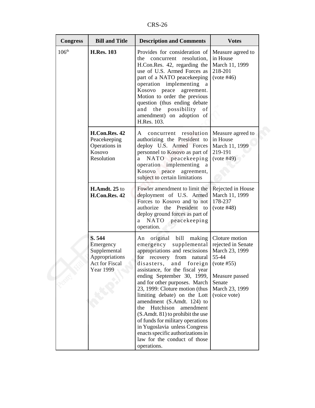CRS-26

| <b>Congress</b>   | <b>Bill and Title</b>                                                                              | <b>Description and Comments</b>                                                                                                                                                                                                                                                                                                                                                                                                                                                                                                                                                     | <b>Votes</b>                                                                                                                                |
|-------------------|----------------------------------------------------------------------------------------------------|-------------------------------------------------------------------------------------------------------------------------------------------------------------------------------------------------------------------------------------------------------------------------------------------------------------------------------------------------------------------------------------------------------------------------------------------------------------------------------------------------------------------------------------------------------------------------------------|---------------------------------------------------------------------------------------------------------------------------------------------|
| 106 <sup>th</sup> | <b>H.Res. 103</b>                                                                                  | Provides for consideration of<br>the concurrent resolution,<br>H.Con.Res. 42, regarding the<br>use of U.S. Armed Forces as<br>part of a NATO peacekeeping<br>operation implementing<br><sub>a</sub><br>Kosovo peace<br>agreement.<br>Motion to order the previous<br>question (thus ending debate<br>the possibility<br>and<br>of<br>amendment) on adoption of<br>H.Res. 103.                                                                                                                                                                                                       | Measure agreed to<br>in House<br>March 11, 1999<br>218-201<br>(vote #46)                                                                    |
|                   | H.Con.Res. 42<br>Peacekeeping<br>Operations in<br>Kosovo<br>Resolution                             | resolution<br>concurrent<br>A<br>authorizing the President to<br>deploy U.S. Armed Forces<br>personnel to Kosovo as part of<br>NATO peacekeeping<br>a<br>operation implementing a<br>Kosovo peace agreement,<br>subject to certain limitations                                                                                                                                                                                                                                                                                                                                      | Measure agreed to<br>in House<br>March 11, 1999<br>219-191<br>(vote #49)                                                                    |
|                   | H.Amdt. 25 to<br>H.Con.Res. 42                                                                     | Fowler amendment to limit the<br>deployment of U.S. Armed<br>Forces to Kosovo and to not<br>authorize the President to<br>deploy ground forces as part of<br>NATO peacekeeping<br>a.<br>operation.                                                                                                                                                                                                                                                                                                                                                                                  | Rejected in House<br>March 11, 1999<br>178-237<br>(vote #48)                                                                                |
|                   | S. 544<br>Emergency<br>Supplemental<br>Appropriations<br><b>Act for Fiscal</b><br><b>Year 1999</b> | original bill<br>making<br>An<br>supplemental<br>emergency<br>appropriations and rescissions<br>for recovery from natural<br>disasters, and foreign<br>assistance, for the fiscal year<br>ending September 30, 1999,<br>and for other purposes. March<br>23, 1999: Cloture motion (thus<br>limiting debate) on the Lott<br>amendment (S.Amdt. 124) to<br>Hutchison<br>amendment<br>the<br>(S.Amdt. 81) to prohibit the use<br>of funds for military operations<br>in Yugoslavia unless Congress<br>enacts specific authorizations in<br>law for the conduct of those<br>operations. | Cloture motion<br>rejected in Senate<br>March 23, 1999<br>55-44<br>(vote #55)<br>Measure passed<br>Senate<br>March 23, 1999<br>(voice vote) |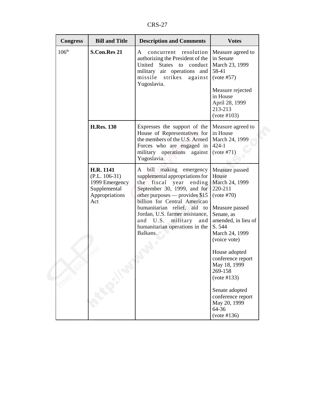CRS-27

| <b>Congress</b>   | <b>Bill and Title</b>                                                            | <b>Description and Comments</b>                                                                                                                                                                                                                                                                                                                  | <b>Votes</b>                                                                                                                                                                                                                                                                                                          |
|-------------------|----------------------------------------------------------------------------------|--------------------------------------------------------------------------------------------------------------------------------------------------------------------------------------------------------------------------------------------------------------------------------------------------------------------------------------------------|-----------------------------------------------------------------------------------------------------------------------------------------------------------------------------------------------------------------------------------------------------------------------------------------------------------------------|
| 106 <sup>th</sup> | <b>S.Con.Res 21</b>                                                              | resolution<br>A<br>concurrent<br>authorizing the President of the<br>United States to<br>conduct<br>military air operations<br>and<br>missile<br>strikes<br>against<br>Yugoslavia.                                                                                                                                                               | Measure agreed to<br>in Senate<br>March 23, 1999<br>58-41<br>(vote #57)<br>Measure rejected<br>in House<br>April 28, 1999<br>213-213<br>(vote #103)                                                                                                                                                                   |
|                   | <b>H.Res. 130</b>                                                                | Expresses the support of the<br>House of Representatives for<br>the members of the U.S. Armed<br>Forces who are engaged in<br>military operations<br>against<br>Yugoslavia.                                                                                                                                                                      | Measure agreed to<br>in House<br>March 24, 1999<br>$424 - 1$<br>(vote #71)                                                                                                                                                                                                                                            |
| Act               | H.R. 1141<br>$(P.L. 106-31)$<br>1999 Emergency<br>Supplemental<br>Appropriations | A bill making<br>emergency<br>supplemental appropriations for<br>the<br>fiscal<br>ending<br>year<br>September 30, 1999, and for<br>other purposes — provides \$15<br>billion for Central American<br>humanitarian relief, aid to<br>Jordan, U.S. farmer assistance,<br>and U.S.<br>military<br>and<br>humanitarian operations in the<br>Balkans. | Measure passed<br>House<br>March 24, 1999<br>220-211<br>(vote #70)<br>Measure passed<br>Senate, as<br>amended, in lieu of<br>S. 544<br>March 24, 1999<br>(voice vote)<br>House adopted<br>conference report<br>May 18, 1999<br>269-158<br>(vote #133)<br>Senate adopted<br>conference report<br>May 20, 1999<br>64-36 |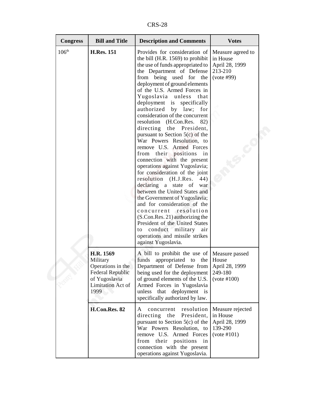CRS-28

| <b>Congress</b>   | <b>Bill and Title</b>                                                                                               | <b>Description and Comments</b>                                                                                                                                                                                                                                                                                                                                                                                                                                                                                                                                                                                                                                                                                                                                                                                                                                                                                                                                                                                                | <b>Votes</b>                                                             |
|-------------------|---------------------------------------------------------------------------------------------------------------------|--------------------------------------------------------------------------------------------------------------------------------------------------------------------------------------------------------------------------------------------------------------------------------------------------------------------------------------------------------------------------------------------------------------------------------------------------------------------------------------------------------------------------------------------------------------------------------------------------------------------------------------------------------------------------------------------------------------------------------------------------------------------------------------------------------------------------------------------------------------------------------------------------------------------------------------------------------------------------------------------------------------------------------|--------------------------------------------------------------------------|
| 106 <sup>th</sup> | <b>H.Res. 151</b>                                                                                                   | Provides for consideration of<br>the bill (H.R. 1569) to prohibit<br>the use of funds appropriated to<br>the Department of Defense<br>being used<br>from<br>for<br>the<br>deployment of ground elements<br>of the U.S. Armed Forces in<br>Yugoslavia<br>unless<br>that<br>deployment is<br>specifically<br>authorized<br>by law;<br>for<br>consideration of the concurrent<br>resolution (H.Con.Res.<br>82)<br>directing the President,<br>pursuant to Section $5(c)$ of the<br>War Powers Resolution, to<br>remove U.S. Armed Forces<br>from their positions in<br>connection with the present<br>operations against Yugoslavia;<br>for consideration of the joint<br>resolution (H.J.Res.<br>44)<br>declaring a<br>state of<br>war<br>between the United States and<br>the Government of Yugoslavia;<br>and for consideration of the<br>concurrent resolution<br>(S.Con.Res. 21) authorizing the<br>President of the United States<br>conduct military<br>to<br>air<br>operations and missile strikes<br>against Yugoslavia. | Measure agreed to<br>in House<br>April 28, 1999<br>213-210<br>(vote #99) |
|                   | H.R. 1569<br>Military<br>Operations in the<br><b>Federal Republic</b><br>of Yugoslavia<br>Limitation Act of<br>1999 | A bill to prohibit the use of<br>funds<br>appropriated to the<br>Department of Defense from<br>being used for the deployment<br>of ground elements of the U.S.<br>Armed Forces in Yugoslavia<br>deployment is<br>unless<br>that<br>specifically authorized by law.                                                                                                                                                                                                                                                                                                                                                                                                                                                                                                                                                                                                                                                                                                                                                             | Measure passed<br>House<br>April 28, 1999<br>249-180<br>(vote #100)      |
|                   | H.Con.Res. 82                                                                                                       | resolution<br>concurrent<br>A<br>directing the President,<br>pursuant to Section $5(c)$ of the<br>War Powers Resolution, to<br>remove U.S. Armed Forces<br>their<br>positions<br>from<br>in<br>connection with the present<br>operations against Yugoslavia.                                                                                                                                                                                                                                                                                                                                                                                                                                                                                                                                                                                                                                                                                                                                                                   | Measure rejected<br>in House<br>April 28, 1999<br>139-290<br>(vote #101) |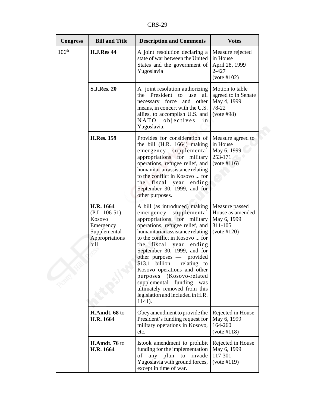CRS-29

| <b>Congress</b>   | <b>Bill and Title</b>                                                                         | <b>Description and Comments</b>                                                                                                                                                                                                                                                                                                                                                                                                                                                                               | <b>Votes</b>                                                                 |
|-------------------|-----------------------------------------------------------------------------------------------|---------------------------------------------------------------------------------------------------------------------------------------------------------------------------------------------------------------------------------------------------------------------------------------------------------------------------------------------------------------------------------------------------------------------------------------------------------------------------------------------------------------|------------------------------------------------------------------------------|
| 106 <sup>th</sup> | <b>H.J.Res 44</b>                                                                             | A joint resolution declaring a<br>state of war between the United<br>States and the government of<br>Yugoslavia                                                                                                                                                                                                                                                                                                                                                                                               | Measure rejected<br>in House<br>April 28, 1999<br>2-427<br>(vote #102)       |
|                   | <b>S.J.Res. 20</b>                                                                            | A joint resolution authorizing<br>the President to use<br>all<br>necessary force and other<br>means, in concert with the U.S.<br>allies, to accomplish U.S. and<br>NATO<br>objectives<br>i n<br>Yugoslavia.                                                                                                                                                                                                                                                                                                   | Motion to table<br>agreed to in Senate<br>May 4, 1999<br>78-22<br>(vote #98) |
|                   | <b>H.Res. 159</b>                                                                             | Provides for consideration of<br>the bill (H.R. 1664) making<br>emergency supplemental<br>appropriations for military<br>operations, refugee relief, and<br>humanitarian assistance relating<br>to the conflict in Kosovo  for<br>the fiscal<br>year<br>ending<br>September 30, 1999, and for<br>other purposes.                                                                                                                                                                                              | Measure agreed to<br>in House<br>May 6, 1999<br>253-171<br>(vote #116)       |
|                   | H.R. 1664<br>$(P.L. 106-51)$<br>Kosovo<br>Emergency<br>Supplemental<br>Appropriations<br>bill | A bill (as introduced) making<br>emergency<br>supplemental<br>appropriations for military<br>operations, refugee relief, and<br>humanitarian assistance relating<br>to the conflict in Kosovo  for<br>fiscal<br>the<br>year<br>ending<br>September 30, 1999, and for<br>other purposes — provided<br>\$13.1 billion relating to<br>Kosovo operations and other<br>purposes<br>(Kosovo-related<br>supplemental<br>funding<br>was<br>ultimately removed from this<br>legislation and included in H.R.<br>1141). | Measure passed<br>House as amended<br>May 6, 1999<br>311-105<br>(vote #120)  |
|                   | H.Amdt. 68 to<br>H.R. 1664                                                                    | Obey amendment to provide the<br>President's funding request for<br>military operations in Kosovo,<br>etc.                                                                                                                                                                                                                                                                                                                                                                                                    | Rejected in House<br>May 6, 1999<br>164-260<br>(vote #118)                   |
|                   | H.Amdt. 76 to<br>H.R. 1664                                                                    | Istook amendment to prohibit<br>funding for the implementation<br>any plan to invade<br>of<br>Yugoslavia with ground forces,<br>except in time of war.                                                                                                                                                                                                                                                                                                                                                        | Rejected in House<br>May 6, 1999<br>117-301<br>(vote #119)                   |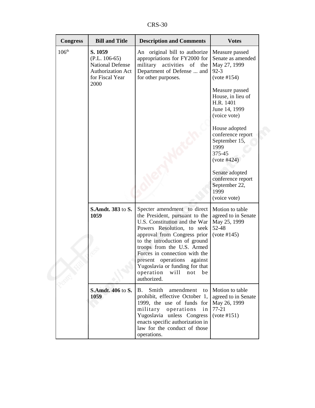CRS-30

| <b>Congress</b>   | <b>Bill and Title</b>                                                                                        | <b>Description and Comments</b>                                                                                                                                                                                                                              | <b>Votes</b>                                                                            |
|-------------------|--------------------------------------------------------------------------------------------------------------|--------------------------------------------------------------------------------------------------------------------------------------------------------------------------------------------------------------------------------------------------------------|-----------------------------------------------------------------------------------------|
| 106 <sup>th</sup> | S. 1059<br>$(P.L. 106-65)$<br><b>National Defense</b><br><b>Authorization Act</b><br>for Fiscal Year<br>2000 | An original bill to authorize<br>appropriations for FY2000 for<br>military activities of the<br>Department of Defense  and<br>for other purposes.                                                                                                            | Measure passed<br>Senate as amended<br>May 27, 1999<br>$92 - 3$<br>(vote #154)          |
|                   |                                                                                                              |                                                                                                                                                                                                                                                              | Measure passed<br>House, in lieu of<br>H.R. 1401<br>June 14, 1999<br>(voice vote)       |
|                   |                                                                                                              |                                                                                                                                                                                                                                                              | House adopted<br>conference report<br>September 15,<br>1999<br>375-45<br>$(vote \#424)$ |
|                   |                                                                                                              |                                                                                                                                                                                                                                                              | Senate adopted<br>conference report<br>September 22,<br>1999<br>(voice vote)            |
|                   | S.Amdt. 383 to S.<br>1059                                                                                    | Specter amendment to direct<br>the President, pursuant to the<br>U.S. Constitution and the War<br>Powers Resolution, to seek<br>approval from Congress prior<br>to the introduction of ground<br>troops from the U.S. Armed<br>Forces in connection with the | Motion to table<br>agreed to in Senate<br>May 25, 1999<br>52-48<br>(vote #145)          |
|                   |                                                                                                              | present operations<br>against<br>Yugoslavia or funding for that<br>operation<br>will<br>not<br>be<br>authorized.                                                                                                                                             |                                                                                         |
|                   | <b>S.Amdt. 406 to S.</b><br>1059                                                                             | Smith<br>amendment<br>B.<br>to<br>prohibit, effective October 1,<br>1999, the use of funds for<br>military<br>operations<br>in<br>Yugoslavia unless Congress<br>enacts specific authorization in<br>law for the conduct of those<br>operations.              | Motion to table<br>agreed to in Senate<br>May 26, 1999<br>$77 - 21$<br>(vote #151)      |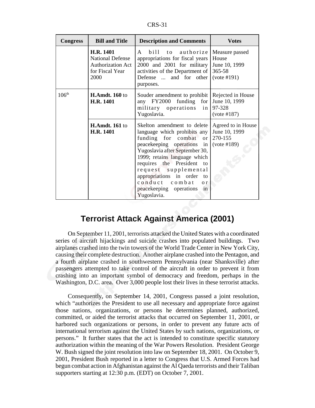| n.<br>ъ.<br>N. |
|----------------|
|----------------|

| <b>Congress</b>   | <b>Bill and Title</b>                                                                | <b>Description and Comments</b>                                                                                                                                                                                                                                                                                                                                                 | <b>Votes</b>                                                      |
|-------------------|--------------------------------------------------------------------------------------|---------------------------------------------------------------------------------------------------------------------------------------------------------------------------------------------------------------------------------------------------------------------------------------------------------------------------------------------------------------------------------|-------------------------------------------------------------------|
|                   | H.R. 1401<br><b>National Defense</b><br>Authorization Act<br>for Fiscal Year<br>2000 | $b$ ill<br>authorize<br>$\mathsf{A}$<br>t o<br>appropriations for fiscal years<br>2000 and 2001 for military<br>activities of the Department of<br>Defense  and for other<br>purposes.                                                                                                                                                                                          | Measure passed<br>House<br>June 10, 1999<br>365-58<br>(vote #191) |
| 106 <sup>th</sup> | <b>H.Amdt. 160 to</b><br>H.R. 1401                                                   | Souder amendment to prohibit Rejected in House<br>any FY2000 funding<br>for <sub>l</sub><br>military operations<br>in <sub>1</sub><br>Yugoslavia.                                                                                                                                                                                                                               | June 10, 1999<br>97-328<br>(vote #187)                            |
|                   | <b>H.Amdt. 161 to</b><br><b>H.R. 1401</b>                                            | Skelton amendment to delete<br>language which prohibits any<br>funding for combat<br><sub>or</sub><br>peacekeeping operations<br>in<br>Yugoslavia after September 30,<br>1999; retains language which<br>requires the President<br>to<br>request supplemental<br>appropriations in order<br>to<br>conduct combat<br>0 <sub>r</sub><br>peacekeeping operations in<br>Yugoslavia. | Agreed to in House<br>June 10, 1999<br>270-155<br>(vote #189)     |

#### **Terrorist Attack Against America (2001)**

On September 11, 2001, terrorists attacked the United States with a coordinated series of aircraft hijackings and suicide crashes into populated buildings. Two airplanes crashed into the twin towers of the World Trade Center in New York City, causing their complete destruction. Another airplane crashed into the Pentagon, and a fourth airplane crashed in southwestern Pennsylvania (near Shanksville) after passengers attempted to take control of the aircraft in order to prevent it from crashing into an important symbol of democracy and freedom, perhaps in the Washington, D.C. area. Over 3,000 people lost their lives in these terrorist attacks.

Consequently, on September 14, 2001, Congress passed a joint resolution, which "authorizes the President to use all necessary and appropriate force against those nations, organizations, or persons he determines planned, authorized, committed, or aided the terrorist attacks that occurred on September 11, 2001, or harbored such organizations or persons, in order to prevent any future acts of international terrorism against the United States by such nations, organizations, or persons." It further states that the act is intended to constitute specific statutory authorization within the meaning of the War Powers Resolution. President George W. Bush signed the joint resolution into law on September 18, 2001. On October 9, 2001, President Bush reported in a letter to Congress that U.S. Armed Forces had begun combat action in Afghanistan against the Al Qaeda terrorists and their Taliban supporters starting at 12:30 p.m. (EDT) on October 7, 2001.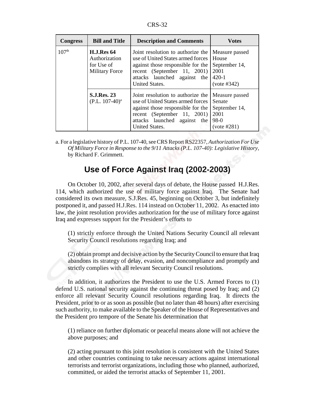| <b>Congress</b>   | <b>Bill and Title</b>                                                     | <b>Description and Comments</b>                                                                                                                                                              | <b>Votes</b>                                                               |
|-------------------|---------------------------------------------------------------------------|----------------------------------------------------------------------------------------------------------------------------------------------------------------------------------------------|----------------------------------------------------------------------------|
| 107 <sup>th</sup> | <b>H.J.Res 64</b><br>Authorization<br>for Use of<br><b>Military Force</b> | Joint resolution to authorize the<br>use of United States armed forces<br>against those responsible for the<br>recent (September 11, 2001)<br>attacks launched against the<br>United States. | Measure passed<br>House<br>September 14,<br>2001<br>$420-1$<br>(vote #342) |
|                   | <b>S.J.Res. 23</b><br>$(P.L. 107-40)^a$                                   | Joint resolution to authorize the<br>use of United States armed forces<br>against those responsible for the<br>recent (September 11, 2001)<br>attacks launched against the<br>United States. | Measure passed<br>Senate<br>September 14,<br>2001<br>$98-0$<br>(vote #281) |

a. For a legislative history of P.L. 107-40, see CRS Report RS22357, *Authorization For Use Of Military Force in Response to the 9/11 Attacks (P.L. 107-40): Legislative History*, by Richard F. Grimmett.

#### **Use of Force Against Iraq (2002-2003)**

On October 10, 2002, after several days of debate, the House passed H.J.Res. 114, which authorized the use of military force against Iraq. The Senate had considered its own measure, S.J.Res. 45, beginning on October 3, but indefinitely postponed it, and passed H.J.Res. 114 instead on October 11, 2002. As enacted into law, the joint resolution provides authorization for the use of military force against Iraq and expresses support for the President's efforts to

(1) strictly enforce through the United Nations Security Council all relevant Security Council resolutions regarding Iraq; and

(2) obtain prompt and decisive action by the Security Council to ensure that Iraq abandons its strategy of delay, evasion, and noncompliance and promptly and strictly complies with all relevant Security Council resolutions.

In addition, it authorizes the President to use the U.S. Armed Forces to (1) defend U.S. national security against the continuing threat posed by Iraq; and (2) enforce all relevant Security Council resolutions regarding Iraq. It directs the President, prior to or as soon as possible (but no later than 48 hours) after exercising such authority, to make available to the Speaker of the House of Representatives and the President pro tempore of the Senate his determination that

(1) reliance on further diplomatic or peaceful means alone will not achieve the above purposes; and

(2) acting pursuant to this joint resolution is consistent with the United States and other countries continuing to take necessary actions against international terrorists and terrorist organizations, including those who planned, authorized, committed, or aided the terrorist attacks of September 11, 2001.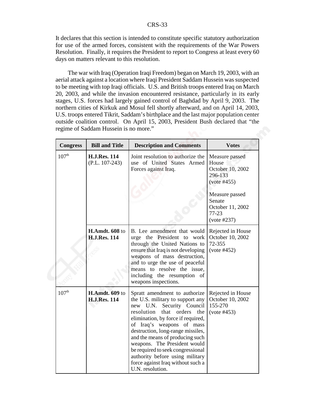It declares that this section is intended to constitute specific statutory authorization for use of the armed forces, consistent with the requirements of the War Powers Resolution. Finally, it requires the President to report to Congress at least every 60 days on matters relevant to this resolution.

The war with Iraq (Operation Iraqi Freedom) began on March 19, 2003, with an aerial attack against a location where Iraqi President Saddam Hussein was suspected to be meeting with top Iraqi officials. U.S. and British troops entered Iraq on March 20, 2003, and while the invasion encountered resistance, particularly in its early stages, U.S. forces had largely gained control of Baghdad by April 9, 2003. The northern cities of Kirkuk and Mosul fell shortly afterward, and on April 14, 2003, U.S. troops entered Tikrit, Saddam's birthplace and the last major population center outside coalition control. On April 15, 2003, President Bush declared that "the regime of Saddam Hussein is no more."

| <b>Congress</b>   | <b>Bill and Title</b>                        | <b>Description and Comments</b>                                                                                                                                                                                                                                                                                                                                                                                                                      | <b>Votes</b>                                                                                                                                      |
|-------------------|----------------------------------------------|------------------------------------------------------------------------------------------------------------------------------------------------------------------------------------------------------------------------------------------------------------------------------------------------------------------------------------------------------------------------------------------------------------------------------------------------------|---------------------------------------------------------------------------------------------------------------------------------------------------|
| 107 <sup>th</sup> | <b>H.J.Res. 114</b><br>$(P.L. 107-243)$      | Joint resolution to authorize the<br>use of United States Armed<br>Forces against Iraq.                                                                                                                                                                                                                                                                                                                                                              | Measure passed<br>House<br>October 10, 2002<br>296-133<br>(vote #455)<br>Measure passed<br>Senate<br>October 11, 2002<br>$77 - 23$<br>(vote #237) |
|                   | H.Amdt. 608 to<br><b>H.J.Res. 114</b>        | B. Lee amendment that would<br>urge the President to work<br>through the United Nations to<br>ensure that Iraq is not developing<br>weapons of mass destruction,<br>and to urge the use of peaceful<br>means to resolve the issue,<br>including the resumption of<br>weapons inspections.                                                                                                                                                            | Rejected in House<br>October 10, 2002<br>72-355<br>(vote #452)                                                                                    |
| 107 <sup>th</sup> | <b>H.Amdt. 609 to</b><br><b>H.J.Res. 114</b> | Spratt amendment to authorize<br>the U.S. military to support any<br>Security Council<br>new U.N.<br>that<br>orders<br>resolution<br>the<br>elimination, by force if required,<br>of Iraq's weapons of mass<br>destruction, long-range missiles,<br>and the means of producing such<br>weapons. The President would<br>be required to seek congressional<br>authority before using military<br>force against Iraq without such a<br>U.N. resolution. | Rejected in House<br>October 10, 2002<br>155-270<br>(vote #453)                                                                                   |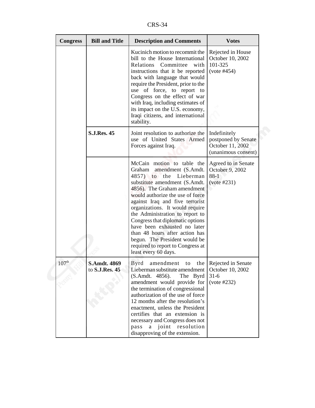CRS-34

| <b>Congress</b>   | <b>Bill and Title</b>                 | <b>Description and Comments</b>                                                                                                                                                                                                                                                                                                                                                                                                                                                                             | <b>Votes</b>                                                                   |
|-------------------|---------------------------------------|-------------------------------------------------------------------------------------------------------------------------------------------------------------------------------------------------------------------------------------------------------------------------------------------------------------------------------------------------------------------------------------------------------------------------------------------------------------------------------------------------------------|--------------------------------------------------------------------------------|
|                   |                                       | Kucinich motion to recommit the<br>bill to the House International<br>Relations Committee<br>with<br>instructions that it be reported<br>back with language that would<br>require the President, prior to the<br>use of force, to report to<br>Congress on the effect of war<br>with Iraq, including estimates of<br>its impact on the U.S. economy,<br>Iraqi citizens, and international<br>stability.                                                                                                     | Rejected in House<br>October 10, 2002<br>101-325<br>(vote #454)                |
|                   | <b>S.J.Res. 45</b>                    | Joint resolution to authorize the<br>use of United States Armed<br>Forces against Iraq.                                                                                                                                                                                                                                                                                                                                                                                                                     | Indefinitely<br>postponed by Senate<br>October 11, 2002<br>(unanimous consent) |
|                   |                                       | McCain motion to table the<br>Graham<br>amendment (S.Amdt.<br>4857) to<br>the<br>Lieberman<br>substitute amendment (S.Amdt.<br>4856). The Graham amendment<br>would authorize the use of force<br>against Iraq and five terrorist<br>organizations. It would require<br>the Administration to report to<br>Congress that diplomatic options<br>have been exhausted no later<br>than 48 hours after action has<br>begun. The President would be<br>required to report to Congress at<br>least every 60 days. | Agreed to in Senate<br>October 9, 2002<br>$88-1$<br>(vote #231)                |
| 107 <sup>th</sup> | <b>S.Amdt. 4869</b><br>to S.J.Res. 45 | amendment to the Rejected in Senate<br>Byrd<br>Lieberman substitute amendment<br>(S.Amdt. 4856).<br>The Byrd<br>amendment would provide for<br>the termination of congressional<br>authorization of the use of force<br>12 months after the resolution's<br>enactment, unless the President<br>certifies that an extension is<br>necessary and Congress does not<br>pass<br>joint resolution<br>a<br>disapproving of the extension.                                                                         | October 10, 2002<br>$31-6$<br>(vote #232)                                      |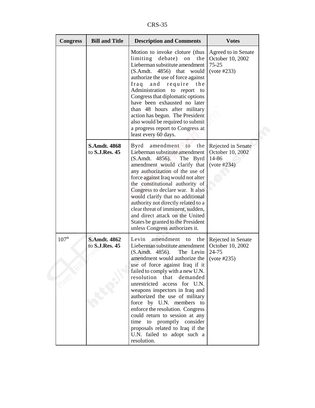CRS-35

| <b>Congress</b>   | <b>Bill and Title</b>                 | <b>Description and Comments</b>                                                                                                                                                                                                                                                                                                                                                                                                                                                                                                                                     | <b>Votes</b>                                                      |
|-------------------|---------------------------------------|---------------------------------------------------------------------------------------------------------------------------------------------------------------------------------------------------------------------------------------------------------------------------------------------------------------------------------------------------------------------------------------------------------------------------------------------------------------------------------------------------------------------------------------------------------------------|-------------------------------------------------------------------|
|                   |                                       | Motion to invoke cloture (thus<br>limiting debate)<br>the<br>on<br>Lieberman substitute amendment<br>$(S. Amdt. 4856)$ that<br>would<br>authorize the use of force against<br>and<br>require<br>Iraq<br>the<br>Administration to<br>report to<br>Congress that diplomatic options<br>have been exhausted no later<br>than 48 hours after military<br>action has begun. The President<br>also would be required to submit<br>a progress report to Congress at<br>least every 60 days.                                                                                | Agreed to in Senate<br>October 10, 2002<br>75-25<br>(vote #233)   |
|                   | <b>S.Amdt. 4868</b><br>to S.J.Res. 45 | Byrd<br>amendment to<br>the<br>Lieberman substitute amendment<br>(S.Amdt. 4856).<br>The Byrd<br>amendment would clarify that<br>any authorization of the use of<br>force against Iraq would not alter<br>the constitutional authority of<br>Congress to declare war. It also<br>would clarify that no additional<br>authority not directly related to a<br>clear threat of imminent, sudden,<br>and direct attack on the United<br>States be granted to the President<br>unless Congress authorizes it.                                                             | Rejected in Senate<br>October 10, 2002<br>14-86<br>(vote #234)    |
| 107 <sup>th</sup> | <b>S.Amdt. 4862</b><br>to S.J.Res. 45 | Levin<br>amendment<br>to<br>the<br>Lieberman substitute amendment<br>(S.Amdt. 4856).<br>The Levin<br>amendment would authorize the<br>use of force against Iraq if it<br>failed to comply with a new U.N.<br>resolution that demanded<br>unrestricted access for U.N.<br>weapons inspectors in Iraq and<br>authorized the use of military<br>force by U.N. members<br>to<br>enforce the resolution. Congress<br>could return to session at any<br>time<br>to<br>promptly consider<br>proposals related to Iraq if the<br>U.N. failed to adopt such a<br>resolution. | Rejected in Senate<br>October 10, 2002<br>24-75<br>$(vote \#235)$ |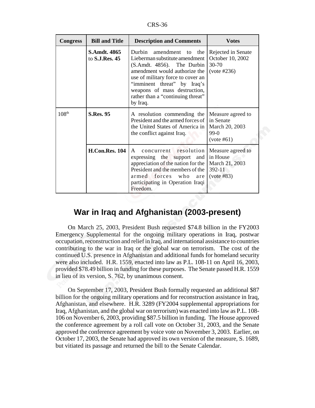CRS-36

| <b>Congress</b>   | <b>Bill and Title</b>                        | <b>Description and Comments</b>                                                                                                                                                                                                                                                     | <b>Votes</b>                                                                |
|-------------------|----------------------------------------------|-------------------------------------------------------------------------------------------------------------------------------------------------------------------------------------------------------------------------------------------------------------------------------------|-----------------------------------------------------------------------------|
|                   | <b>S.Amdt. 4865</b><br>to <b>S.J.Res. 45</b> | Durbin<br>amendment to<br>the<br>Lieberman substitute amendment<br>(S.Amdt. 4856). The Durbin<br>amendment would authorize the<br>use of military force to cover an<br>"imminent threat" by Iraq's<br>weapons of mass destruction,<br>rather than a "continuing threat"<br>by Iraq. | Rejected in Senate<br>October 10, 2002<br>$30 - 70$<br>$(vote \#236)$       |
| 108 <sup>th</sup> | <b>S.Res. 95</b>                             | A resolution commending the<br>President and the armed forces of<br>the United States of America in<br>the conflict against Iraq.                                                                                                                                                   | Measure agreed to<br>in Senate<br>March 20, 2003<br>$99-0$<br>(vote #61)    |
|                   | <b>H.Con.Res. 104</b>                        | concurrent resolution<br>$\mathsf{A}$<br>expressing the support and<br>appreciation of the nation for the<br>President and the members of the<br>armed forces who<br>are<br>participating in Operation Iraqi<br>Freedom.                                                            | Measure agreed to<br>in House<br>March 21, 2003<br>$392 - 11$<br>(vote #83) |

## **War in Iraq and Afghanistan (2003-present)**

On March 25, 2003, President Bush requested \$74.8 billion in the FY2003 Emergency Supplemental for the ongoing military operations in Iraq, postwar occupation, reconstruction and relief in Iraq, and international assistance to countries contributing to the war in Iraq or the global war on terrorism. The cost of the continued U.S. presence in Afghanistan and additional funds for homeland security were also included. H.R. 1559, enacted into law as P.L. 108-11 on April 16, 2003, provided \$78.49 billion in funding for these purposes. The Senate passed H.R. 1559 in lieu of its version, S. 762, by unanimous consent.

On September 17, 2003, President Bush formally requested an additional \$87 billion for the ongoing military operations and for reconstruction assistance in Iraq, Afghanistan, and elsewhere. H.R. 3289 (FY2004 supplemental appropriations for Iraq, Afghanistan, and the global war on terrorism) was enacted into law as P.L. 108- 106 on November 6, 2003, providing \$87.5 billion in funding. The House approved the conference agreement by a roll call vote on October 31, 2003, and the Senate approved the conference agreement by voice vote on November 3, 2003. Earlier, on October 17, 2003, the Senate had approved its own version of the measure, S. 1689, but vitiated its passage and returned the bill to the Senate Calendar.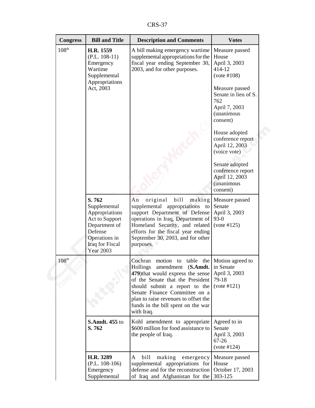CRS-37

| <b>Congress</b>   | <b>Bill and Title</b>                                                                                                                         | <b>Description and Comments</b>                                                                                                                                                                                                                                                                                                 | <b>Votes</b>                                                                                                                                                                                                                                                                                                             |
|-------------------|-----------------------------------------------------------------------------------------------------------------------------------------------|---------------------------------------------------------------------------------------------------------------------------------------------------------------------------------------------------------------------------------------------------------------------------------------------------------------------------------|--------------------------------------------------------------------------------------------------------------------------------------------------------------------------------------------------------------------------------------------------------------------------------------------------------------------------|
| 108 <sup>th</sup> | H.R. 1559<br>$(P.L. 108-11)$<br>Emergency<br>Wartime<br>Supplemental<br>Appropriations<br>Act, 2003                                           | A bill making emergency wartime<br>supplemental appropriations for the<br>fiscal year ending September 30,<br>2003, and for other purposes.                                                                                                                                                                                     | Measure passed<br>House<br>April 3, 2003<br>414-12<br>(vote #108)<br>Measure passed<br>Senate in lieu of S.<br>762<br>April 7, 2003<br>(unanimous<br>consent)<br>House adopted<br>conference report<br>April 12, 2003<br>(voice vote)<br>Senate adopted<br>conference report<br>April 12, 2003<br>(unanimous<br>consent) |
|                   | S.762<br>Supplemental<br>Appropriations<br>Act to Support<br>Department of<br>Defense<br>Operations in<br>Iraq for Fiscal<br><b>Year 2003</b> | bill<br>An<br>original<br>making<br>supplemental<br>appropriations<br>to<br>support Department of Defense<br>operations in Iraq, Department of<br>Homeland Security, and related<br>efforts for the fiscal year ending<br>September 30, 2003, and for other<br>purposes.                                                        | Measure passed<br>Senate<br>April 3, 2003<br>$93-0$<br>(vote #125)                                                                                                                                                                                                                                                       |
| $108^{\rm th}$    |                                                                                                                                               | Cochran<br>motion<br>table<br>the  <br>to<br><b>Hollings</b><br>amendment<br>(S. A m dt.<br>479) that would express the sense<br>of the Senate that the President<br>should submit a report to the<br>Senate Finance Committee on a<br>plan to raise revenues to offset the<br>funds in the bill spent on the war<br>with Iraq. | Motion agreed to<br>in Senate<br>April 3, 2003<br>79-18<br>(vote #121)                                                                                                                                                                                                                                                   |
|                   | <b>S.Amdt. 455 to</b><br>S.762                                                                                                                | Kohl amendment to appropriate<br>\$600 million for food assistance to<br>the people of Iraq.                                                                                                                                                                                                                                    | Agreed to in<br>Senate<br>April 3, 2003<br>$67 - 26$<br>(vote #124)                                                                                                                                                                                                                                                      |
|                   | H.R. 3289<br>$(P.L. 108-106)$<br>Emergency<br>Supplemental                                                                                    | bill<br>making<br>A<br>emergency<br>supplemental appropriations for<br>defense and for the reconstruction<br>of Iraq and Afghanistan for the                                                                                                                                                                                    | Measure passed<br>House<br>October 17, 2003<br>303-125                                                                                                                                                                                                                                                                   |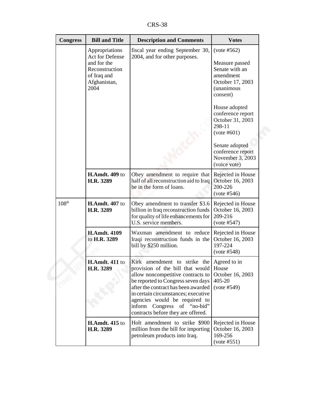CRS-38

| <b>Congress</b>   | <b>Bill and Title</b>                                                                                     | <b>Description and Comments</b>                                                                                                                                                                                                                                                                                                                    | <b>Votes</b>                                                                                                                                                                                           |
|-------------------|-----------------------------------------------------------------------------------------------------------|----------------------------------------------------------------------------------------------------------------------------------------------------------------------------------------------------------------------------------------------------------------------------------------------------------------------------------------------------|--------------------------------------------------------------------------------------------------------------------------------------------------------------------------------------------------------|
|                   | Appropriations<br>Act for Defense<br>and for the<br>Reconstruction<br>of Iraq and<br>Afghanistan,<br>2004 | fiscal year ending September 30,<br>2004, and for other purposes.                                                                                                                                                                                                                                                                                  | (vote #562)<br>Measure passed<br>Senate with an<br>amendment<br>October 17, 2003<br><i>(unanimous</i><br>consent)<br>House adopted<br>conference report<br>October 31, 2003<br>298-11<br>$(vote\#601)$ |
|                   |                                                                                                           |                                                                                                                                                                                                                                                                                                                                                    | Senate adopted<br>conference report<br>November 3, 2003<br>(voice vote)                                                                                                                                |
|                   | <b>H.Amdt. 409 to</b><br>H.R. 3289                                                                        | Obey amendment to require that<br>half of all reconstruction aid to Iraq<br>be in the form of loans.                                                                                                                                                                                                                                               | Rejected in House<br>October 16, 2003<br>200-226<br>(vote #546)                                                                                                                                        |
| 108 <sup>th</sup> | <b>H.Amdt. 407 to</b><br>H.R. 3289                                                                        | Obey amendment to transfer \$3.6<br>billion in Iraq reconstruction funds<br>for quality of life enhancements for<br>U.S. service members.                                                                                                                                                                                                          | Rejected in House<br>October 16, 2003<br>209-216<br>(vote #547)                                                                                                                                        |
|                   | <b>H.Amdt. 4109</b><br>to H.R. 3289                                                                       | Waxman amendment to reduce<br>Iraqi reconstruction funds in the<br>bill by \$250 million.                                                                                                                                                                                                                                                          | Rejected in House<br>October 16, 2003<br>197-224<br>(vote #548)                                                                                                                                        |
|                   | <b>H.Amdt. 411 to</b><br>H.R. 3289                                                                        | Kirk amendment to strike the Agreed to in<br>provision of the bill that would House<br>allow noncompetitive contracts to<br>be reported to Congress seven days<br>after the contract has been awarded<br>in certain circumstances; executive<br>agencies would be required to<br>inform Congress of "no-bid"<br>contracts before they are offered. | October 16, 2003<br>405-20<br>(vote #549)                                                                                                                                                              |
|                   | <b>H.Amdt. 415 to</b><br>H.R. 3289                                                                        | Holt amendment to strike \$900<br>million from the bill for importing<br>petroleum products into Iraq.                                                                                                                                                                                                                                             | Rejected in House<br>October 16, 2003<br>169-256<br>(vote #551)                                                                                                                                        |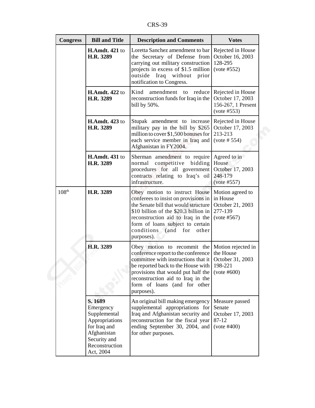CRS-39

| <b>Congress</b>   | <b>Bill and Title</b>                                                                                                                | <b>Description and Comments</b>                                                                                                                                                                                                                                                          | <b>Votes</b>                                                               |
|-------------------|--------------------------------------------------------------------------------------------------------------------------------------|------------------------------------------------------------------------------------------------------------------------------------------------------------------------------------------------------------------------------------------------------------------------------------------|----------------------------------------------------------------------------|
|                   | <b>H.Amdt. 421 to</b><br>H.R. 3289                                                                                                   | Loretta Sanchez amendment to bar<br>the Secretary of Defense from<br>carrying out military construction<br>projects in excess of \$1.5 million<br>outside Iraq without<br>prior<br>notification to Congress.                                                                             | Rejected in House<br>October 16, 2003<br>128-295<br>(vote #552)            |
|                   | <b>H.Amdt. 422 to</b><br>H.R. 3289                                                                                                   | Kind<br>amendment to reduce<br>reconstruction funds for Iraq in the<br>bill by 50%.                                                                                                                                                                                                      | Rejected in House<br>October 17, 2003<br>156-267, 1 Present<br>(vote #553) |
|                   | <b>H.Amdt. 423 to</b><br>H.R. 3289                                                                                                   | Stupak amendment to increase<br>military pay in the bill by \$265<br>million to cover \$1,500 bonuses for<br>each service member in Iraq and<br>Afghanistan in FY2004.                                                                                                                   | Rejected in House<br>October 17, 2003<br>213-213<br>(vote # 554)           |
|                   | <b>H.Amdt. 431 to</b><br>H.R. 3289                                                                                                   | Sherman amendment to require<br>normal<br>competitive<br>bidding<br>procedures for all government<br>contracts relating to Iraq's oil<br>infrastructure.                                                                                                                                 | Agreed to in<br>House<br>October 17, 2003<br>248-179<br>(vote #557)        |
| 108 <sup>th</sup> | H.R. 3289                                                                                                                            | Obey motion to instruct House<br>conferees to insist on provisions in<br>the Senate bill that would structure<br>\$10 billion of the \$20.3 billion in<br>reconstruction aid to Iraq in the<br>form of loans subject to certain<br>conditions (and for<br>other<br>purposes).            | Motion agreed to<br>in House<br>October 21, 2003<br>277-139<br>(vote #567) |
|                   | H.R. 3289                                                                                                                            | Obey motion to recommit the<br>conference report to the conference<br>committee with instructions that it<br>be reported back to the House with $\vert$ 198-221<br>provisions that would put half the<br>reconstruction aid to Iraq in the<br>form of loans (and for other<br>purposes). | Motion rejected in<br>the House<br>October 31, 2003<br>$(vote\#600)$       |
|                   | S. 1689<br>Emergency<br>Supplemental<br>Appropriations<br>for Iraq and<br>Afghanistan<br>Security and<br>Reconstruction<br>Act, 2004 | An original bill making emergency<br>supplemental appropriations for<br>Iraq and Afghanistan security and<br>reconstruction for the fiscal year<br>ending September 30, 2004, and<br>for other purposes.                                                                                 | Measure passed<br>Senate<br>October 17, 2003<br>87-12<br>(vote #400)       |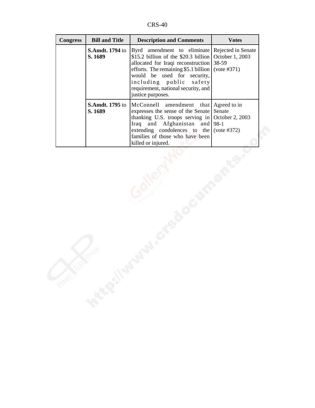CRS-40

| <b>Congress</b> | <b>Bill and Title</b>             | <b>Description and Comments</b>                                                                                                                                                                                                                                                                                                          | <b>Votes</b> |
|-----------------|-----------------------------------|------------------------------------------------------------------------------------------------------------------------------------------------------------------------------------------------------------------------------------------------------------------------------------------------------------------------------------------|--------------|
|                 | <b>S.Amdt. 1794</b> to<br>S. 1689 | Byrd amendment to eliminate Rejected in Senate<br>\$15.2 billion of the \$20.3 billion $\vert$ October 1, 2003<br>allocated for Iraqi reconstruction 38-59<br>efforts. The remaining \$5.1 billion (vote $\#371$ )<br>would be used for security,<br>including public safety<br>requirement, national security, and<br>justice purposes. |              |
|                 | <b>S.Amdt. 1795</b> to<br>S. 1689 | McConnell amendment that Agreed to in<br>expresses the sense of the Senate<br>thanking U.S. troops serving in October 2, 2003<br>Iraq and Afghanistan and 98-1<br>extending condolences to the (vote $\#372$ )<br>families of those who have been<br>killed or injured.                                                                  | Senate       |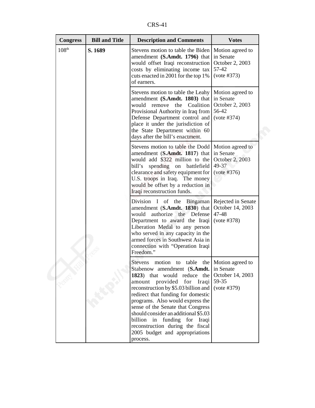CRS-41

| <b>Congress</b>   | <b>Bill and Title</b> | <b>Description and Comments</b>                                                                                                                                                                                                                                                                                                                                                                                                                               | <b>Votes</b>                                                             |
|-------------------|-----------------------|---------------------------------------------------------------------------------------------------------------------------------------------------------------------------------------------------------------------------------------------------------------------------------------------------------------------------------------------------------------------------------------------------------------------------------------------------------------|--------------------------------------------------------------------------|
| 108 <sup>th</sup> | S. 1689               | Stevens motion to table the Biden<br>amendment (S.Amdt. 1796) that<br>would offset Iraqi reconstruction<br>costs by eliminating income tax<br>cuts enacted in 2001 for the top 1%<br>of earners.                                                                                                                                                                                                                                                              | Motion agreed to<br>in Senate<br>October 2, 2003<br>57-42<br>(vote #373) |
|                   |                       | Stevens motion to table the Leahy<br>amendment (S.Amdt. 1803) that<br>would remove the Coalition<br>Provisional Authority in Iraq from<br>Defense Department control and<br>place it under the jurisdiction of<br>the State Department within 60<br>days after the bill's enactment.                                                                                                                                                                          | Motion agreed to<br>in Senate<br>October 2, 2003<br>56-42<br>(vote #374) |
|                   |                       | Stevens motion to table the Dodd<br>amendment (S.Amdt. 1817) that<br>would add \$322 million to the<br>bill's<br>spending on battlefield<br>clearance and safety equipment for<br>U.S. troops in Iraq. The money<br>would be offset by a reduction in<br>Iraqi reconstruction funds.                                                                                                                                                                          | Motion agreed to<br>in Senate<br>October 2, 2003<br>49-37<br>(vote #376) |
|                   |                       | Division I of the Bingaman Rejected in Senate<br>amendment (S.Amdt. 1830) that<br>authorize the Defense<br>would<br>Department to award the Iraqi<br>Liberation Medal to any person<br>who served in any capacity in the<br>armed forces in Southwest Asia in<br>connection with "Operation Iraqi<br>Freedom."                                                                                                                                                | October 14, 2003<br>47-48<br>(vote #378)                                 |
|                   |                       | <b>Stevens</b><br>motion<br>table<br>to<br>Stabenow amendment (S.Amdt. in Senate<br>1823) that would reduce the<br>amount provided for Iraqi<br>reconstruction by \$5.03 billion and<br>redirect that funding for domestic<br>programs. Also would express the<br>sense of the Senate that Congress<br>should consider an additional \$5.03<br>billion in funding for Iraqi<br>reconstruction during the fiscal<br>2005 budget and appropriations<br>process. | the Motion agreed to<br>October 14, 2003<br>59-35<br>(vote #379)         |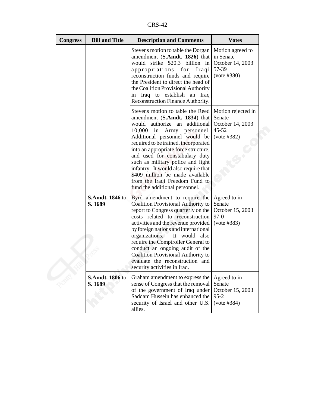CRS-42

| <b>Congress</b> | <b>Bill and Title</b>             | <b>Description and Comments</b>                                                                                                                                                                                                                                                                                                                                                                                                                                             | <b>Votes</b>                                                                 |
|-----------------|-----------------------------------|-----------------------------------------------------------------------------------------------------------------------------------------------------------------------------------------------------------------------------------------------------------------------------------------------------------------------------------------------------------------------------------------------------------------------------------------------------------------------------|------------------------------------------------------------------------------|
|                 |                                   | Stevens motion to table the Dorgan<br>amendment (S.Amdt. 1826) that<br>would strike \$20.3 billion in<br>appropriations for Iraqi<br>reconstruction funds and require<br>the President to direct the head of<br>the Coalition Provisional Authority<br>in Iraq to establish an Iraq<br>Reconstruction Finance Authority.                                                                                                                                                    | Motion agreed to<br>in Senate<br>October 14, 2003<br>57-39<br>(vote #380)    |
|                 |                                   | Stevens motion to table the Reed<br>amendment (S.Amdt. 1834) that<br>would authorize an additional<br>$10,000$ in Army<br>personnel.<br>Additional personnel would be<br>required to be trained, incorporated<br>into an appropriate force structure,<br>and used for constabulary duty<br>such as military police and light<br>infantry. It would also require that<br>\$409 million be made available<br>from the Iraqi Freedom Fund to<br>fund the additional personnel. | Motion rejected in<br>Senate<br>October 14, 2003<br>$45 - 52$<br>(vote #382) |
|                 | <b>S.Amdt. 1846 to</b><br>S. 1689 | Byrd amendment to require the<br>Coalition Provisional Authority to<br>report to Congress quarterly on the<br>costs related to reconstruction<br>activities and the revenue provided<br>by foreign nations and international<br>organizations.<br>It would also<br>require the Comptroller General to<br>conduct an ongoing audit of the<br><b>Coalition Provisional Authority to</b><br>evaluate the reconstruction and<br>security activities in Iraq.                    | Agreed to in<br>Senate<br>October 15, 2003<br>$97-0$<br>(vote #383)          |
|                 | S.Amdt. 1806 to<br>S. 1689        | Graham amendment to express the<br>sense of Congress that the removal<br>of the government of Iraq under<br>Saddam Hussein has enhanced the<br>security of Israel and other U.S.<br>allies.                                                                                                                                                                                                                                                                                 | Agreed to in<br>Senate<br>October 15, 2003<br>$95 - 2$<br>(vote #384)        |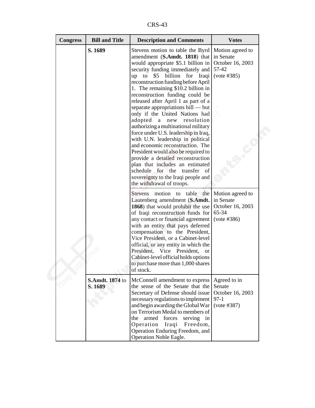CRS-43

| <b>Congress</b> | <b>Bill and Title</b> | <b>Description and Comments</b>                                                                                                                                                                                                                                                                                                                                                                                                                                                                                                                                                                                                                                                                                                                                                                                                  | <b>Votes</b>                                                              |
|-----------------|-----------------------|----------------------------------------------------------------------------------------------------------------------------------------------------------------------------------------------------------------------------------------------------------------------------------------------------------------------------------------------------------------------------------------------------------------------------------------------------------------------------------------------------------------------------------------------------------------------------------------------------------------------------------------------------------------------------------------------------------------------------------------------------------------------------------------------------------------------------------|---------------------------------------------------------------------------|
| S. 1689         |                       | Stevens motion to table the Byrd<br>amendment (S.Amdt. 1818) that<br>would appropriate \$5.1 billion in<br>security funding immediately and<br>up to<br>\$5 billion for Iraqi<br>reconstruction funding before April<br>1. The remaining \$10.2 billion in<br>reconstruction funding could be<br>released after April 1 as part of a<br>separate appropriations bill — but<br>only if the United Nations had<br>adopted<br>a<br>new resolution<br>authorizing a multinational military<br>force under U.S. leadership in Iraq,<br>with U.N. leadership in political<br>and economic reconstruction. The<br>President would also be required to<br>provide a detailed reconstruction<br>plan that includes an estimated<br>schedule<br>for the<br>transfer of<br>sovereignty to the Iraqi people and<br>the withdrawal of troops. | Motion agreed to<br>in Senate<br>October 16, 2003<br>57-42<br>(vote #385) |
|                 |                       | Stevens motion to table the<br>Lautenberg amendment (S.Amdt.<br>1868) that would prohibit the use<br>of Iraqi reconstruction funds for<br>any contact or financial agreement<br>with an entity that pays deferred<br>compensation to the President,<br>Vice President, or a Cabinet-level<br>official, or any entity in which the<br>President, Vice President,<br><b>or</b><br>Cabinet-level official holds options<br>to purchase more than 1,000 shares<br>of stock.                                                                                                                                                                                                                                                                                                                                                          | Motion agreed to<br>in Senate<br>October 16, 2003<br>65-34<br>(vote #386) |
| S. 1689         | S.Amdt. 1874 to       | McConnell amendment to express<br>the sense of the Senate that the<br>Secretary of Defense should issue<br>necessary regulations to implement<br>and begin awarding the Global War<br>on Terrorism Medal to members of<br>armed<br>forces<br>serving in<br>the<br>Operation<br>Iraqi<br>Freedom,<br>Operation Enduring Freedom, and<br>Operation Noble Eagle.                                                                                                                                                                                                                                                                                                                                                                                                                                                                    | Agreed to in<br>Senate<br>October 16, 2003<br>$97-1$<br>(vote #387)       |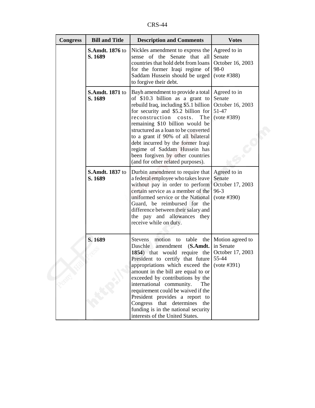CRS-44

| <b>Congress</b> | <b>Bill and Title</b>             | <b>Description and Comments</b>                                                                                                                                                                                                                                                                                                                                                                                                                                                             | <b>Votes</b>                                                          |
|-----------------|-----------------------------------|---------------------------------------------------------------------------------------------------------------------------------------------------------------------------------------------------------------------------------------------------------------------------------------------------------------------------------------------------------------------------------------------------------------------------------------------------------------------------------------------|-----------------------------------------------------------------------|
|                 | <b>S.Amdt. 1876 to</b><br>S. 1689 | Nickles amendment to express the<br>sense of the Senate that all<br>countries that hold debt from loans<br>for the former Iraqi regime of<br>Saddam Hussein should be urged<br>to forgive their debt.                                                                                                                                                                                                                                                                                       | Agreed to in<br>Senate<br>October 16, 2003<br>98-0<br>(vote #388)     |
|                 | <b>S.Amdt. 1871</b> to<br>S. 1689 | Bayh amendment to provide a total<br>of \$10.3 billion as a grant to<br>rebuild Iraq, including \$5.1 billion<br>for security and \$5.2 billion for<br>reconstruction costs.<br>The<br>remaining \$10 billion would be<br>structured as a loan to be converted<br>to a grant if 90% of all bilateral<br>debt incurred by the former Iraqi<br>regime of Saddam Hussein has<br>been forgiven by other countries<br>(and for other related purposes).                                          | Agreed to in<br>Senate<br>October 16, 2003<br>51-47<br>(vote #389)    |
|                 | <b>S.Amdt. 1837</b> to<br>S. 1689 | Durbin amendment to require that<br>a federal employee who takes leave<br>without pay in order to perform<br>certain service as a member of the<br>uniformed service or the National<br>Guard, be reimbursed for the<br>difference between their salary and<br>the pay and allowances they<br>receive while on duty.                                                                                                                                                                        | Agreed to in<br>Senate<br>October 17, 2003<br>$96 - 3$<br>(vote #390) |
|                 | S. 1689                           | <b>Stevens</b><br>motion to table<br>the<br>Daschle amendment (S.Amdt.<br>1854) that would require the<br>President to certify that future<br>appropriations which exceed the (vote #391)<br>amount in the bill are equal to or<br>exceeded by contributions by the<br>international community.<br>The<br>requirement could be waived if the<br>President provides a report to<br>Congress that determines<br>the<br>funding is in the national security<br>interests of the United States. | Motion agreed to<br>in Senate<br>October 17, 2003<br>55-44            |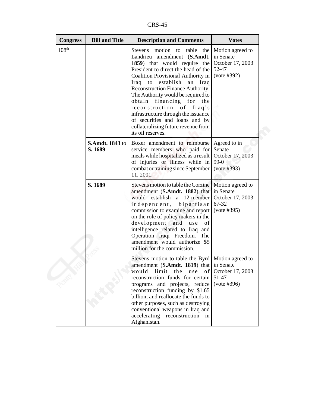CRS-45

| <b>Congress</b> | <b>Bill and Title</b>             | <b>Description and Comments</b>                                                                                                                                                                                                                                                                                                                                                                                                                                                                                | <b>Votes</b>                                                              |
|-----------------|-----------------------------------|----------------------------------------------------------------------------------------------------------------------------------------------------------------------------------------------------------------------------------------------------------------------------------------------------------------------------------------------------------------------------------------------------------------------------------------------------------------------------------------------------------------|---------------------------------------------------------------------------|
| $108^{\rm th}$  |                                   | Stevens<br>motion to<br>table<br>the  <br>Landrieu amendment (S.Amdt.<br>1859) that would require the<br>President to direct the head of the<br>Coalition Provisional Authority in<br>Iraq to establish<br>${\rm an}$<br>Iraq<br>Reconstruction Finance Authority.<br>The Authority would be required to<br>obtain financing for<br>the<br>reconstruction<br>of<br>Iraq's<br>infrastructure through the issuance<br>of securities and loans and by<br>collateralizing future revenue from<br>its oil reserves. | Motion agreed to<br>in Senate<br>October 17, 2003<br>52-47<br>(vote #392) |
|                 | <b>S.Amdt. 1843 to</b><br>S. 1689 | Boxer amendment to reimburse<br>service members who paid for<br>meals while hospitalized as a result<br>of injuries or illness while in<br>combat or training since September<br>11, 2001.                                                                                                                                                                                                                                                                                                                     | Agreed to in<br>Senate<br>October 17, 2003<br>$99-0$<br>(vote #393)       |
|                 | S. 1689                           | Stevens motion to table the Corzine<br>amendment (S.Amdt. 1882) that<br>would establish a 12-member<br>independent,<br>bipartisan<br>commission to examine and report<br>on the role of policy makers in the<br>development and<br>use<br>οf<br>intelligence related to Iraq and<br>Operation Iraqi Freedom.<br>The<br>amendment would authorize \$5<br>million for the commission.                                                                                                                            | Motion agreed to<br>in Senate<br>October 17, 2003<br>67-32<br>(vote #395) |
|                 |                                   | Stevens motion to table the Byrd   Motion agreed to<br>amendment (S.Amdt. 1819) that in Senate<br>would<br>limit<br>the<br>of<br>use<br>reconstruction funds for certain<br>programs and projects, reduce<br>reconstruction funding by \$1.65<br>billion, and reallocate the funds to<br>other purposes, such as destroying<br>conventional weapons in Iraq and<br>accelerating<br>reconstruction<br>in<br>Afghanistan.                                                                                        | October 17, 2003<br>51-47<br>(vote #396)                                  |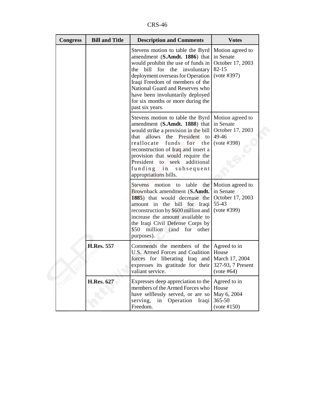CRS-46

| <b>Congress</b> | <b>Bill and Title</b> | <b>Description and Comments</b>                                                                                                                                                                                                                                                                                                                                | <b>Votes</b>                                                                  |
|-----------------|-----------------------|----------------------------------------------------------------------------------------------------------------------------------------------------------------------------------------------------------------------------------------------------------------------------------------------------------------------------------------------------------------|-------------------------------------------------------------------------------|
|                 |                       | Stevens motion to table the Byrd<br>amendment (S.Amdt. 1886) that<br>would prohibit the use of funds in<br>bill for the involuntary<br>the<br>deployment overseas for Operation<br>Iraqi Freedom of members of the<br>National Guard and Reserves who<br>have been involuntarily deployed<br>for six months or more during the<br>past six years.              | Motion agreed to<br>in Senate<br>October 17, 2003<br>$82 - 15$<br>(vote #397) |
|                 |                       | Stevens motion to table the Byrd   Motion agreed to<br>amendment (S.Amdt. 1888) that<br>would strike a provision in the bill<br>allows the President to<br>that<br>reallocate<br>funds for<br>the<br>reconstruction of Iraq and insert a<br>provision that would require the<br>President to seek additional<br>funding in subsequent<br>appropriations bills. | in Senate<br>October 17, 2003<br>49-46<br>(vote #398)                         |
|                 |                       | Stevens motion to table<br>Brownback amendment (S.Amdt.<br>1885) that would decrease the<br>amount in the bill for Iraqi<br>reconstruction by \$600 million and<br>increase the amount available to<br>the Iraqi Civil Defense Corps by<br>\$50 million (and for other<br>purposes).                                                                           | the Motion agreed to<br>in Senate<br>October 17, 2003<br>55-43<br>(vote #399) |
|                 | <b>H.Res. 557</b>     | Commends the members of the Agreed to in<br>U.S. Armed Forces and Coalition   House<br>forces for liberating Iraq and March 17, 2004<br>expresses its gratitude for their 327-93, 7 Present<br>valiant service.                                                                                                                                                | (vote #64)                                                                    |
|                 | <b>H.Res. 627</b>     | Expresses deep appreciation to the<br>members of the Armed Forces who<br>have selflessly served, or are so<br>serving,<br>in Operation<br>Iraqi<br>Freedom.                                                                                                                                                                                                    | Agreed to in<br>House<br>May 6, 2004<br>365-50<br>(vote #150)                 |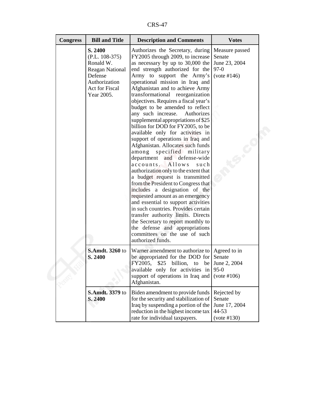CRS-47

| <b>Congress</b> | <b>Bill and Title</b>                                                                                                          | <b>Description and Comments</b>                                                                                                                                                                                                                                                                                                                                                                                                                                                                                                                                                                                                                                                                                                                                                                                                                                                                                                                                                                                                                                                                                                    | <b>Votes</b>                                                       |
|-----------------|--------------------------------------------------------------------------------------------------------------------------------|------------------------------------------------------------------------------------------------------------------------------------------------------------------------------------------------------------------------------------------------------------------------------------------------------------------------------------------------------------------------------------------------------------------------------------------------------------------------------------------------------------------------------------------------------------------------------------------------------------------------------------------------------------------------------------------------------------------------------------------------------------------------------------------------------------------------------------------------------------------------------------------------------------------------------------------------------------------------------------------------------------------------------------------------------------------------------------------------------------------------------------|--------------------------------------------------------------------|
|                 | S. 2400<br>$(P.L. 108-375)$<br>Ronald W.<br><b>Reagan National</b><br>Defense<br>Authorization<br>Act for Fiscal<br>Year 2005. | Authorizes the Secretary, during<br>FY2005 through 2009, to increase<br>as necessary by up to 30,000 the<br>end strength authorized for the<br>Army to support the Army's<br>operational mission in Iraq and<br>Afghanistan and to achieve Army<br>transformational reorganization<br>objectives. Requires a fiscal year's<br>budget to be amended to reflect<br>any such increase.<br>Authorizes<br>supplemental appropriations of \$25<br>billion for DOD for FY2005, to be<br>available only for activities in<br>support of operations in Iraq and<br>Afghanistan. Allocates such funds<br>specified military<br>among<br>department and defense-wide<br>accounts.<br>Allows<br>such<br>authorization only to the extent that<br>a budget request is transmitted<br>from the President to Congress that<br>includes a designation of the<br>requested amount as an emergency<br>and essential to support activities<br>in such countries. Provides certain<br>transfer authority limits. Directs<br>the Secretary to report monthly to<br>the defense and appropriations<br>committees on the use of such<br>authorized funds. | Measure passed<br>Senate<br>June 23, 2004<br>$97-0$<br>(vote #146) |
|                 | <b>S.Amdt. 3260 to</b><br>S. 2400                                                                                              | Warner amendment to authorize to Agreed to in<br>be appropriated for the DOD for Senate<br>FY2005, $$25$ billion, to be June 2, 2004<br>available only for activities in<br>support of operations in Iraq and<br>Afghanistan.                                                                                                                                                                                                                                                                                                                                                                                                                                                                                                                                                                                                                                                                                                                                                                                                                                                                                                      | $95-0$<br>(vote #106)                                              |
|                 | <b>S.Amdt.</b> 3379 to<br>S. 2400                                                                                              | Biden amendment to provide funds<br>for the security and stabilization of<br>Iraq by suspending a portion of the<br>reduction in the highest income tax<br>rate for individual taxpayers.                                                                                                                                                                                                                                                                                                                                                                                                                                                                                                                                                                                                                                                                                                                                                                                                                                                                                                                                          | Rejected by<br>Senate<br>June 17, 2004<br>44-53<br>(vote #130)     |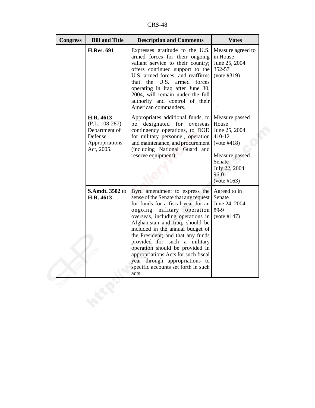CRS-48

| <b>Congress</b><br><b>Bill and Title</b>                                                  | <b>Description and Comments</b>                                                                                                                                                                                                                                                                                                                                                                                                                                                           | <b>Votes</b>                                                                                                                            |
|-------------------------------------------------------------------------------------------|-------------------------------------------------------------------------------------------------------------------------------------------------------------------------------------------------------------------------------------------------------------------------------------------------------------------------------------------------------------------------------------------------------------------------------------------------------------------------------------------|-----------------------------------------------------------------------------------------------------------------------------------------|
| <b>H.Res. 691</b>                                                                         | Expresses gratitude to the U.S.<br>armed forces for their ongoing<br>valiant service to their country;<br>offers continued support to the<br>U.S. armed forces; and reaffirms<br>the U.S.<br>armed forces<br>that<br>operating in Iraq after June 30,<br>2004, will remain under the full<br>authority and control of their<br>American commanders.                                                                                                                                       | Measure agreed to<br>in House<br>June 25, 2004<br>352-57<br>(vote #319)                                                                 |
| H.R. 4613<br>$(P.L. 108-287)$<br>Department of<br>Defense<br>Appropriations<br>Act, 2005. | Appropriates additional funds, to<br>designated for<br>be<br>overseas<br>contingency operations, to DOD<br>for military personnel, operation<br>and maintenance, and procurement<br>(including National Guard and<br>reserve equipment).                                                                                                                                                                                                                                                  | Measure passed<br>House<br>June 25, 2004<br>410-12<br>(vote #418)<br>Measure passed<br>Senate<br>July 22, 2004<br>$96-0$<br>(vote #163) |
| <b>S.Amdt. 3502 to</b><br>H.R. 4613                                                       | Byrd amendment to express the<br>sense of the Senate that any request<br>for funds for a fiscal year for an<br>ongoing<br>military operation<br>overseas, including operations in<br>Afghanistan and Iraq, should be<br>included in the annual budget of<br>the President; and that any funds<br>provided for such a military<br>operation should be provided in<br>appropriations Acts for such fiscal<br>year through appropriations to<br>specific accounts set forth in such<br>acts. | Agreed to in<br>Senate<br>June 24, 2004<br>89-9<br>(vote #147)                                                                          |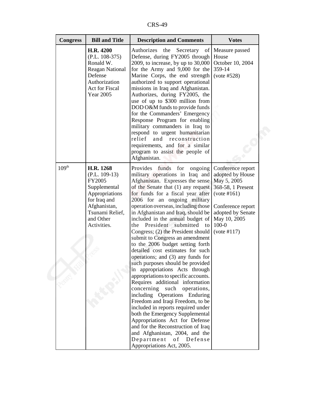CRS-49

| <b>Congress</b>   | <b>Bill and Title</b>                                                                                                                                   | <b>Description and Comments</b>                                                                                                                                                                                                                                                                                                                                                                                                                                                                                                                                                                                                                                                                                                                                                                                                                                                                                                                                                                                                                       | <b>Votes</b>                                                                                                                                                                   |
|-------------------|---------------------------------------------------------------------------------------------------------------------------------------------------------|-------------------------------------------------------------------------------------------------------------------------------------------------------------------------------------------------------------------------------------------------------------------------------------------------------------------------------------------------------------------------------------------------------------------------------------------------------------------------------------------------------------------------------------------------------------------------------------------------------------------------------------------------------------------------------------------------------------------------------------------------------------------------------------------------------------------------------------------------------------------------------------------------------------------------------------------------------------------------------------------------------------------------------------------------------|--------------------------------------------------------------------------------------------------------------------------------------------------------------------------------|
|                   | H.R. 4200<br>$(P.L. 108-375)$<br>Ronald W.<br><b>Reagan National</b><br>Defense<br>Authorization<br>Act for Fiscal<br><b>Year 2005</b>                  | Authorizes<br>the<br>Secretary of<br>Defense, during FY2005 through<br>2009, to increase, by up to $30,000$<br>for the Army and 9,000 for the<br>Marine Corps, the end strength<br>authorized to support operational<br>missions in Iraq and Afghanistan.<br>Authorizes, during FY2005, the<br>use of up to \$300 million from<br>DOD O&M funds to provide funds<br>for the Commanders' Emergency<br>Response Program for enabling<br>military commanders in Iraq to<br>respond to urgent humanitarian<br>relief<br>and<br>reconstruction<br>requirements, and for a similar<br>program to assist the people of<br>Afghanistan.                                                                                                                                                                                                                                                                                                                                                                                                                       | Measure passed<br>House<br>October 10, 2004<br>359-14<br>(vote #528)                                                                                                           |
| 109 <sup>th</sup> | H.R. 1268<br>$(P.L. 109-13)$<br>FY2005<br>Supplemental<br>Appropriations<br>for Iraq and<br>Afghanistan,<br>Tsunami Relief,<br>and Other<br>Activities. | Provides funds for<br>ongoing<br>military operations in Iraq and<br>Afghanistan. Expresses the sense<br>of the Senate that (1) any request<br>for funds for a fiscal year after<br>2006 for an ongoing military<br>operation overseas, including those<br>in Afghanistan and Iraq, should be<br>included in the annual budget of<br>President submitted to<br>the<br>Congress; (2) the President should<br>submit to Congress an amendment<br>to the 2006 budget setting forth<br>detailed cost estimates for such<br>operations; and (3) any funds for<br>such purposes should be provided<br>in appropriations Acts through<br>appropriations to specific accounts.<br>Requires additional information<br>concerning such operations,<br>including Operations Enduring<br>Freedom and Iraqi Freedom, to be<br>included in reports required under<br>both the Emergency Supplemental<br>Appropriations Act for Defense<br>and for the Reconstruction of Iraq<br>and Afghanistan, 2004, and the<br>Department of Defense<br>Appropriations Act, 2005. | Conference report<br>adopted by House<br>May 5, 2005<br>368-58, 1 Present<br>(vote #161)<br>Conference report<br>adopted by Senate<br>May 10, 2005<br>$100 - 0$<br>(vote #117) |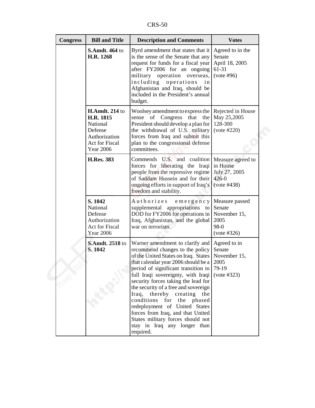CRS-50

| <b>Congress</b> | <b>Bill and Title</b>                                                                                            | <b>Description and Comments</b>                                                                                                                                                                                                                                                                                                                                                                                                                                                                                                  | <b>Votes</b>                                                               |
|-----------------|------------------------------------------------------------------------------------------------------------------|----------------------------------------------------------------------------------------------------------------------------------------------------------------------------------------------------------------------------------------------------------------------------------------------------------------------------------------------------------------------------------------------------------------------------------------------------------------------------------------------------------------------------------|----------------------------------------------------------------------------|
|                 | <b>S.Amdt. 464 to</b><br>H.R. 1268                                                                               | Byrd amendment that states that it<br>is the sense of the Senate that any<br>request for funds for a fiscal year<br>after FY2006 for an ongoing<br>military operation overseas,<br>including operations<br>in<br>Afghanistan and Iraq, should be<br>included in the President's annual<br>budget.                                                                                                                                                                                                                                | Agreed to in the<br>Senate<br>April 18, 2005<br>61-31<br>(vote #96)        |
|                 | <b>H.Amdt. 214 to</b><br>H.R. 1815<br>National<br>Defense<br>Authorization<br>Act for Fiscal<br><b>Year 2006</b> | Woolsey amendment to express the   Rejected in House<br>sense of Congress that<br>the<br>President should develop a plan for<br>the withdrawal of U.S. military<br>forces from Iraq and submit this<br>plan to the congressional defense<br>committees.                                                                                                                                                                                                                                                                          | May 25,2005<br>128-300<br>(vote #220)                                      |
|                 | <b>H.Res. 383</b>                                                                                                | Commends U.S. and coalition<br>forces for liberating the Iraqi<br>people from the repressive regime<br>of Saddam Hussein and for their<br>ongoing efforts in support of Iraq's<br>freedom and stability.                                                                                                                                                                                                                                                                                                                         | Measure agreed to<br>in House<br>July 27, 2005<br>$426 - 0$<br>(vote #438) |
|                 | S. 1042<br>National<br>Defense<br>Authorization<br><b>Act for Fiscal</b><br><b>Year 2006</b>                     | Authorizes<br>emergency<br>supplemental appropriations to<br>DOD for FY2006 for operations in<br>Iraq, Afghanistan, and the global<br>war on terrorism.                                                                                                                                                                                                                                                                                                                                                                          | Measure passed<br>Senate<br>November 15,<br>2005<br>98-0<br>(vote #326)    |
|                 | <b>S.Amdt. 2518 to</b><br>S. 1042                                                                                | Warner amendment to clarify and<br>recommend changes to the policy<br>of the United States on Iraq. States<br>that calendar year 2006 should be a<br>period of significant transition to<br>full Iraqi sovereignty, with Iraqi<br>security forces taking the lead for<br>the security of a free and sovereign<br>Iraq, thereby creating the<br>conditions for the phased<br>redeployment of United States<br>forces from Iraq, and that United<br>States military forces should not<br>stay in Iraq any longer than<br>required. | Agreed to in<br>Senate<br>November 15,<br>2005<br>79-19<br>(vote #323)     |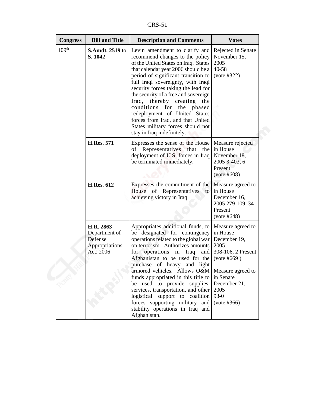CRS-51

| <b>Congress</b>              | <b>Bill and Title</b>                                                | <b>Description and Comments</b>                                                                                                                                                                                                                                                                                                                                                                                                                                                                                                                       | <b>Votes</b>                                                                                                                                  |
|------------------------------|----------------------------------------------------------------------|-------------------------------------------------------------------------------------------------------------------------------------------------------------------------------------------------------------------------------------------------------------------------------------------------------------------------------------------------------------------------------------------------------------------------------------------------------------------------------------------------------------------------------------------------------|-----------------------------------------------------------------------------------------------------------------------------------------------|
| 109 <sup>th</sup><br>S. 1042 | <b>S.Amdt. 2519 to</b>                                               | Levin amendment to clarify and<br>recommend changes to the policy<br>of the United States on Iraq. States<br>that calendar year 2006 should be a<br>period of significant transition to<br>full Iraqi sovereignty, with Iraqi<br>security forces taking the lead for<br>the security of a free and sovereign<br>Iraq, thereby creating<br>the<br>conditions for the phased<br>redeployment of United States<br>forces from Iraq, and that United<br>States military forces should not<br>stay in Iraq indefinitely.                                   | Rejected in Senate<br>November 15,<br>2005<br>40-58<br>(vote #322)                                                                            |
|                              | <b>H.Res. 571</b>                                                    | Expresses the sense of the House<br>of Representatives that the<br>deployment of U.S. forces in Iraq<br>be terminated immediately.                                                                                                                                                                                                                                                                                                                                                                                                                    | Measure rejected<br>in House<br>November 18,<br>2005 3-403, 6<br>Present<br>$(vote\#608)$                                                     |
|                              | <b>H.Res. 612</b>                                                    | Expresses the commitment of the<br>House of Representatives to<br>achieving victory in Iraq.                                                                                                                                                                                                                                                                                                                                                                                                                                                          | Measure agreed to<br>in House<br>December 16,<br>2005 279-109, 34<br>Present<br>(vote #648)                                                   |
|                              | H.R. 2863<br>Department of<br>Defense<br>Appropriations<br>Act, 2006 | Appropriates additional funds, to<br>be designated for contingency<br>operations related to the global war<br>on terrorism. Authorizes amounts<br>for operations in Iraq<br>and<br>Afghanistan to be used for the<br>purchase of heavy and light<br>armored vehicles. Allows O&M   Measure agreed to<br>funds appropriated in this title to in Senate<br>be used to provide supplies,<br>services, transportation, and other<br>logistical support to coalition<br>forces supporting military and<br>stability operations in Iraq and<br>Afghanistan. | Measure agreed to<br>in House<br>December 19,<br>2005<br>308-106, 2 Present<br>$(vote\#669)$<br>December 21,<br>2005<br>$93-0$<br>(vote #366) |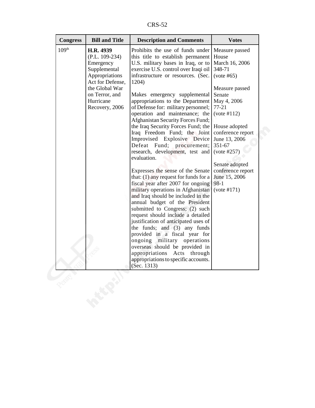CRS-52

| <b>Congress</b>   | <b>Bill and Title</b>                                                                                                                                               | <b>Description and Comments</b>                                                                                                                                                                                                                                                                                                                                                                                                                                                                                                                                                                                                                                                                                                                                                                                                                                                                                                                                                                                                                                                                                                                                 | <b>Votes</b>                                                                                                                                                                                                                                                                                                |
|-------------------|---------------------------------------------------------------------------------------------------------------------------------------------------------------------|-----------------------------------------------------------------------------------------------------------------------------------------------------------------------------------------------------------------------------------------------------------------------------------------------------------------------------------------------------------------------------------------------------------------------------------------------------------------------------------------------------------------------------------------------------------------------------------------------------------------------------------------------------------------------------------------------------------------------------------------------------------------------------------------------------------------------------------------------------------------------------------------------------------------------------------------------------------------------------------------------------------------------------------------------------------------------------------------------------------------------------------------------------------------|-------------------------------------------------------------------------------------------------------------------------------------------------------------------------------------------------------------------------------------------------------------------------------------------------------------|
| 109 <sup>th</sup> | H.R. 4939<br>$(P.L. 109-234)$<br>Emergency<br>Supplemental<br>Appropriations<br>Act for Defense,<br>the Global War<br>on Terror, and<br>Hurricane<br>Recovery, 2006 | Prohibits the use of funds under<br>this title to establish permanent<br>U.S. military bases in Iraq, or to<br>exercise U.S. control over Iraqi oil<br>infrastructure or resources. (Sec.<br>1204)<br>Makes emergency supplemental<br>appropriations to the Department<br>of Defense for: military personnel;<br>operation and maintenance; the<br>Afghanistan Security Forces Fund;<br>the Iraq Security Forces Fund; the<br>Iraq Freedom Fund; the Joint<br>Improvised Explosive Device<br>Defeat Fund; procurement;<br>research, development, test and<br>evaluation.<br>Expresses the sense of the Senate<br>that: $(1)$ any request for funds for a<br>fiscal year after 2007 for ongoing<br>military operations in Afghanistan<br>and Iraq should be included in the<br>annual budget of the President<br>submitted to Congress; (2) such<br>request should include a detailed<br>justification of anticipated uses of<br>the funds; and $(3)$ any funds<br>provided in a fiscal year for<br>ongoing military operations<br>overseas should be provided in<br>appropriations<br>Acts<br>through<br>appropriations to specific accounts.<br>(Sec. $1313$ ) | Measure passed<br>House<br>March 16, 2006<br>348-71<br>$(vote\#65)$<br>Measure passed<br>Senate<br>May 4, 2006<br>$77 - 21$<br>(vote #112)<br>House adopted<br>conference report<br>June 13, 2006<br>351-67<br>(vote #257)<br>Senate adopted<br>conference report<br>June 15, 2006<br>$98-1$<br>(vote #171) |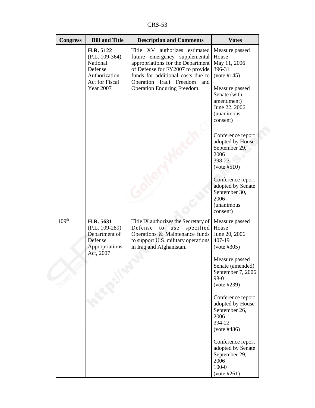CRS-53

| <b>Congress</b>   | <b>Bill and Title</b>                                                                                       | <b>Description and Comments</b>                                                                                                                                                                                                                   | <b>Votes</b>                                                                                                                                                                         |
|-------------------|-------------------------------------------------------------------------------------------------------------|---------------------------------------------------------------------------------------------------------------------------------------------------------------------------------------------------------------------------------------------------|--------------------------------------------------------------------------------------------------------------------------------------------------------------------------------------|
|                   | H.R. 5122<br>$(P.L. 109-364)$<br>National<br>Defense<br>Authorization<br>Act for Fiscal<br><b>Year 2007</b> | Title XV authorizes estimated<br>future emergency supplemental<br>appropriations for the Department<br>of Defense for FY2007 to provide<br>funds for additional costs due to<br>Operation Iraqi Freedom and<br><b>Operation Enduring Freedom.</b> | Measure passed<br>House<br>May 11, 2006<br>396-31<br>(vote #145)<br>Measure passed<br>Senate (with<br>amendment)<br>June 22, 2006<br><i>(unanimous</i><br>consent)                   |
|                   |                                                                                                             |                                                                                                                                                                                                                                                   | Conference report<br>adopted by House<br>September 29,<br>2006<br>398-23<br>(vote #510)<br>Conference report<br>adopted by Senate<br>September 30,<br>2006<br>(unanimous<br>consent) |
| 109 <sup>th</sup> | H.R. 5631<br>(P.L. 109-289)<br>Department of<br>Defense<br>Appropriations<br>Act, 2007                      | Title IX authorizes the Secretary of<br>Defense<br>specified<br>to use<br>Operations & Maintenance funds<br>to support U.S. military operations<br>in Iraq and Afghanistan.                                                                       | Measure passed<br>House<br>June 20, 2006<br>407-19<br>(vote #305)<br>Measure passed<br>Senate (amended)<br>September 7, 2006<br>98-0<br>(vote #239)                                  |
|                   |                                                                                                             |                                                                                                                                                                                                                                                   | Conference report<br>adopted by House<br>September 26,<br>2006<br>394-22<br>(vote #486)<br>Conference report                                                                         |
|                   |                                                                                                             |                                                                                                                                                                                                                                                   | adopted by Senate<br>September 29,<br>2006<br>$100 - 0$<br>(vote #261)                                                                                                               |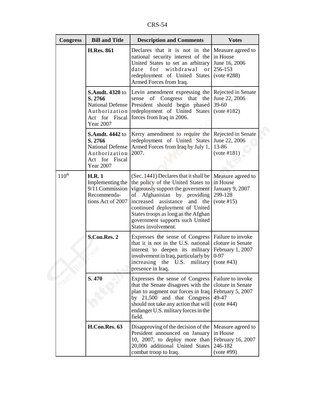CRS-54

| <b>Congress</b>   | <b>Bill and Title</b>                                                                                               | <b>Description and Comments</b>                                                                                                                                                                                                                                                                                             | <b>Votes</b>                                                                            |
|-------------------|---------------------------------------------------------------------------------------------------------------------|-----------------------------------------------------------------------------------------------------------------------------------------------------------------------------------------------------------------------------------------------------------------------------------------------------------------------------|-----------------------------------------------------------------------------------------|
|                   | <b>H.Res. 861</b>                                                                                                   | Declares that it is not in the<br>national security interest of the<br>United States to set an arbitrary<br>withdrawal<br>for<br>date<br>or<br>redeployment of United States<br>Armed Forces from Iraq.                                                                                                                     | Measure agreed to<br>in House<br>June 16, 2006<br>256-153<br>(vote #288)                |
|                   | <b>S.Amdt. 4320 to</b><br>S. 2766<br>Authorization<br>Act for Fiscal<br><b>Year 2007</b>                            | Levin amendment expressing the<br>sense of Congress that the<br>National Defense President should begin phased<br>redeployment of United States<br>forces from Iraq in 2006.                                                                                                                                                | Rejected in Senate<br>June 22, 2006<br>39-60<br>(vote #182)                             |
|                   | <b>S.Amdt. 4442 to</b><br>S. 2766<br><b>National Defense</b><br>Authorization<br>Act for Fiscal<br><b>Year 2007</b> | Kerry amendment to require the<br>redeployment of United States<br>Armed Forces from Iraq by July 1,<br>2007.                                                                                                                                                                                                               | Rejected in Senate<br>June 22, 2006<br>13-86<br>(vote #181)                             |
| $110^{\text{th}}$ | <b>H.R.1</b><br>Implementing the<br>9/11 Commission<br>Recommenda-<br>tions Act of 2007                             | (Sec. 1441) Declares that it shall be<br>the policy of the United States to<br>vigorously support the government<br>of Afghanistan by providing<br>increased<br>assistance<br>and<br>the<br>continued deployment of United<br>States troops as long as the Afghan<br>government supports such United<br>States involvement. | Measure agreed to<br>in House<br><b>January 9, 2007</b><br>299-128<br>(vote #15)        |
|                   | S.Con.Res. 2                                                                                                        | Expresses the sense of Congress<br>that it is not in the U.S. national<br>interest to deepen its military<br>involvement in Iraq, particularly by<br>the U.S.<br>military<br>increasing<br>presence in Iraq.                                                                                                                | Failure to invoke<br>cloture in Senate<br>February 1, 2007<br>$0 - 97$<br>$(vote \#43)$ |
|                   | S. 470                                                                                                              | Expresses the sense of Congress<br>that the Senate disagrees with the<br>plan to augment our forces in Iraq<br>by 21,500 and that Congress<br>should not take any action that will<br>endanger U.S. military forces in the<br>field.                                                                                        | Failure to invoke<br>cloture in Senate<br>February 5, 2007<br>49-47<br>(vote #44)       |
|                   | H.Con.Res. 63                                                                                                       | Disapproving of the decision of the<br>President announced on January<br>10, 2007, to deploy more than<br>20,000 additional United States<br>combat troop to Iraq.                                                                                                                                                          | Measure agreed to<br>in House<br>February 16, 2007<br>246-182<br>(vote #99)             |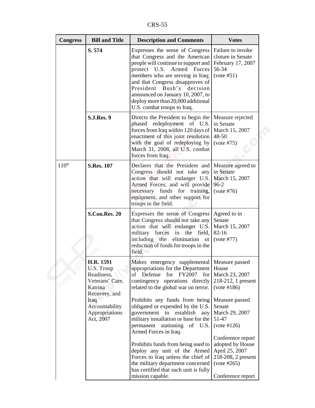CRS-55

| <b>Congress</b>   | <b>Bill and Title</b>                                                                | <b>Description and Comments</b>                                                                                                                                                                                                                                                                                                                            | <b>Votes</b>                                                                                                      |
|-------------------|--------------------------------------------------------------------------------------|------------------------------------------------------------------------------------------------------------------------------------------------------------------------------------------------------------------------------------------------------------------------------------------------------------------------------------------------------------|-------------------------------------------------------------------------------------------------------------------|
|                   | S. 574                                                                               | Expresses the sense of Congress<br>that Congress and the American<br>people will continue to support and<br>protect U.S. Armed Forces<br>members who are serving in Iraq;<br>and that Congress disapproves of<br>Bush's<br>President<br>decision<br>announced on January 10, 2007, to<br>deploy more than 20,000 additional<br>U.S. combat troops to Iraq. | Failure to invoke<br>cloture in Senate<br>February 17, 2007<br>56-34<br>(vote #51)                                |
|                   | <b>S.J.Res. 9</b>                                                                    | Directs the President to begin the<br>phased redeployment of U.S.<br>forces from Iraq within 120 days of<br>enactment of this joint resolution<br>with the goal of redeploying by<br>March 31, 2008, all U.S. combat<br>forces from Iraq.                                                                                                                  | Measure rejected<br>in Senate<br>March 15, 2007<br>48-50<br>(vote #75)                                            |
| $110^{\text{th}}$ | <b>S.Res. 107</b>                                                                    | Declares that the President and<br>Congress should not take any<br>action that will endanger U.S.<br>Armed Forces; and will provide<br>necessary funds for training,<br>equipment, and other support for<br>troops in the field.                                                                                                                           | Measure agreed to<br>in Senate<br>March 15, 2007<br>$96 - 2$<br>(vote #76)                                        |
|                   | <b>S.Con.Res. 20</b>                                                                 | Expresses the sense of Congress<br>that Congress should not take any<br>action that will endanger U.S.<br>military forces<br>in the field,<br>including the<br>elimination<br>or<br>reduction of funds for troops in the<br>field.                                                                                                                         | Agreed to in<br>Senate<br>March 15, 2007<br>82-16<br>(vote #77)                                                   |
|                   | H.R. 1591<br>U.S. Troop<br>Readiness,<br>Veterans' Care,<br>Katrina<br>Recovery, and | Makes emergency supplemental Measure passed<br>appropriations for the Department   House<br>of Defense for FY2007<br>for<br>contingency operations directly<br>related to the global war on terror.                                                                                                                                                        | March 23, 2007<br>218-212, 1 present<br>(vote #186)                                                               |
|                   | Iraq<br>Accountability<br>Appropriations<br>Act, 2007                                | Prohibits any funds from being<br>obligated or expended by the U.S.<br>government to establish any<br>military installation or base for the<br>permanent stationing<br>of U.S.<br>Armed Forces in Iraq.                                                                                                                                                    | Measure passed<br>Senate<br>March 29, 2007<br>51-47<br>(vote #126)                                                |
|                   |                                                                                      | Prohibits funds from being used to<br>deploy any unit of the Armed<br>Forces to Iraq unless the chief of<br>the military department concerned<br>has certified that such unit is fully<br>mission capable.                                                                                                                                                 | Conference report<br>adopted by House<br>April 25, 2007<br>218-208, 2 present<br>(vote #265)<br>Conference report |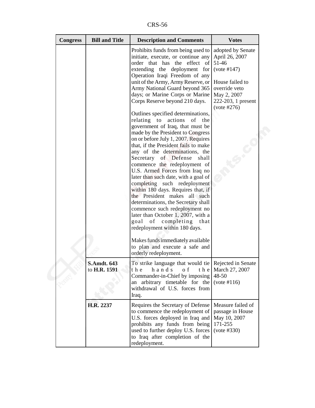CRS-56

| <b>Congress</b> | <b>Bill and Title</b>              | <b>Description and Comments</b>                                                                                                                                                                                                                                                                                                                                                                                                                                                                                                                                                                                                                                                                                                                                                                                                                                                                                                                                                                                                                                                                                     | <b>Votes</b>                                                                                                                                        |
|-----------------|------------------------------------|---------------------------------------------------------------------------------------------------------------------------------------------------------------------------------------------------------------------------------------------------------------------------------------------------------------------------------------------------------------------------------------------------------------------------------------------------------------------------------------------------------------------------------------------------------------------------------------------------------------------------------------------------------------------------------------------------------------------------------------------------------------------------------------------------------------------------------------------------------------------------------------------------------------------------------------------------------------------------------------------------------------------------------------------------------------------------------------------------------------------|-----------------------------------------------------------------------------------------------------------------------------------------------------|
|                 |                                    | Prohibits funds from being used to<br>initiate, execute, or continue any<br>order that has the effect of<br>extending the deployment for<br>Operation Iraqi Freedom of any<br>unit of the Army, Army Reserve, or<br>Army National Guard beyond 365<br>days; or Marine Corps or Marine<br>Corps Reserve beyond 210 days.<br>Outlines specified determinations,<br>relating to actions<br>of the<br>government of Iraq, that must be<br>made by the President to Congress<br>on or before July 1, 2007. Requires<br>that, if the President fails to make<br>any of the determinations, the<br>Secretary of Defense<br>shall<br>commence the redeployment of<br>U.S. Armed Forces from Iraq no<br>later than such date, with a goal of<br>completing such redeployment<br>within 180 days. Requires that, if<br>the President makes all such<br>determinations, the Secretary shall<br>commence such redeployment no<br>later than October 1, 2007, with a<br>goal of completing that<br>redeployment within 180 days.<br>Makes funds immediately available<br>to plan and execute a safe and<br>orderly redeployment. | adopted by Senate<br>April 26, 2007<br>51-46<br>(vote #147)<br>House failed to<br>override veto<br>May 2, 2007<br>222-203, 1 present<br>(vote #276) |
|                 | <b>S.Amdt. 643</b><br>to H.R. 1591 | To strike language that would tie Rejected in Senate<br>t h e<br>hands<br>o f<br>Commander-in-Chief by imposing<br>an arbitrary timetable for the<br>withdrawal of U.S. forces from<br>Iraq.                                                                                                                                                                                                                                                                                                                                                                                                                                                                                                                                                                                                                                                                                                                                                                                                                                                                                                                        | t h e   March 27, 2007<br>48-50<br>(vote #116)                                                                                                      |
|                 | H.R. 2237                          | Requires the Secretary of Defense<br>to commence the redeployment of<br>U.S. forces deployed in Iraq and<br>prohibits any funds from being<br>used to further deploy U.S. forces<br>to Iraq after completion of the<br>redeployment.                                                                                                                                                                                                                                                                                                                                                                                                                                                                                                                                                                                                                                                                                                                                                                                                                                                                                | Measure failed of<br>passage in House<br>May 10, 2007<br>171-255<br>(vote #330)                                                                     |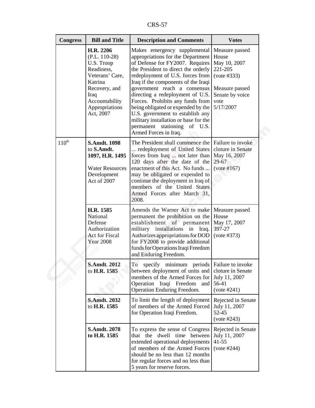CRS-57

| <b>Congress</b>   | <b>Bill and Title</b>                                                                                                                                            | <b>Description and Comments</b>                                                                                                                                                                                                                                                                                                                                                                                                                                                                                  | <b>Votes</b>                                                                                                                |
|-------------------|------------------------------------------------------------------------------------------------------------------------------------------------------------------|------------------------------------------------------------------------------------------------------------------------------------------------------------------------------------------------------------------------------------------------------------------------------------------------------------------------------------------------------------------------------------------------------------------------------------------------------------------------------------------------------------------|-----------------------------------------------------------------------------------------------------------------------------|
|                   | H.R. 2206<br>$(P.L. 110-28)$<br>U.S. Troop<br>Readiness,<br>Veterans' Care,<br>Katrina<br>Recovery, and<br>Iraq<br>Accountability<br>Appropriations<br>Act, 2007 | Makes emergency supplemental<br>appropriations for the Department<br>of Defense for FY2007. Requires<br>the President to direct the orderly<br>redeployment of U.S. forces from<br>Iraq if the components of the Iraqi<br>government reach a consensus<br>directing a redeployment of U.S.<br>Forces. Prohibits any funds from<br>being obligated or expended by the<br>U.S. government to establish any<br>military installation or base for the<br>permanent stationing<br>of<br>U.S.<br>Armed Forces in Iraq. | Measure passed<br>House<br>May 10, 2007<br>221-205<br>(vote #333)<br>Measure passed<br>Senate by voice<br>vote<br>5/17/2007 |
| $110^{\text{th}}$ | <b>S.Amdt. 1098</b><br>to S.Amdt.<br>1097, H.R. 1495<br><b>Water Resources</b><br>Development<br>Act of 2007                                                     | The President shall commence the<br>redeployment of United States<br>forces from Iraq  not later than<br>120 days after the date of the<br>enactment of this Act. No funds<br>may be obligated or expended to<br>continue the deployment in Iraq of<br>members of the United States<br>Armed Forces after March 31,<br>2008.                                                                                                                                                                                     | Failure to invoke<br>cloture in Senate<br>May 16, 2007<br>29-67<br>(vote #167)                                              |
|                   | H.R. 1585<br>National<br>Defense<br>Authorization<br><b>Act for Fiscal</b><br><b>Year 2008</b>                                                                   | Amends the Warner Act to make<br>permanent the prohibition on the<br>establishment of permanent<br>military installations in Iraq.<br>Authorizes appropriations for DOD<br>for FY2008 to provide additional<br>funds for Operations Iraqi Freedom<br>and Enduring Freedom.                                                                                                                                                                                                                                       | Measure passed<br>House<br>May 17, 2007<br>397-27<br>(vote #373)                                                            |
|                   | <b>S.Amdt. 2012</b><br>to H.R. 1585                                                                                                                              | To specify minimum periods Failure to invoke<br>between deployment of units and<br>members of the Armed Forces for<br>Operation Iraqi Freedom and<br><b>Operation Enduring Freedom.</b>                                                                                                                                                                                                                                                                                                                          | cloture in Senate<br>July 11, 2007<br>56-41<br>(vote #241)                                                                  |
|                   | <b>S.Amdt. 2032</b><br>to H.R. 1585                                                                                                                              | To limit the length of deployment<br>of members of the Armed Forced<br>for Operation Iraqi Freedom.                                                                                                                                                                                                                                                                                                                                                                                                              | Rejected in Senate<br>July 11, 2007<br>52-45<br>(vote #243)                                                                 |
|                   | <b>S.Amdt. 2078</b><br>to H.R. 1585                                                                                                                              | To express the sense of Congress<br>that the dwell time between<br>extended operational deployments<br>of members of the Armed Forces<br>should be no less than 12 months<br>for regular forces and no less than<br>5 years for reserve forces.                                                                                                                                                                                                                                                                  | Rejected in Senate<br>July 11, 2007<br>$41 - 55$<br>$(vote \#244)$                                                          |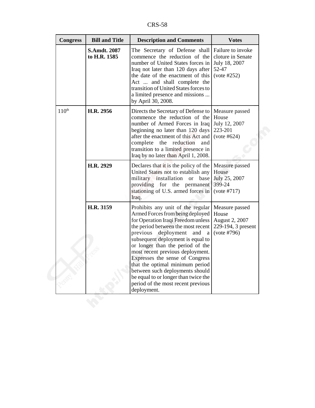CRS-58

| <b>Congress</b>   | <b>Bill and Title</b>               | <b>Description and Comments</b>                                                                                                                                                                                                                                                                                                                                                                                                                                                                            | <b>Votes</b>                                                                    |
|-------------------|-------------------------------------|------------------------------------------------------------------------------------------------------------------------------------------------------------------------------------------------------------------------------------------------------------------------------------------------------------------------------------------------------------------------------------------------------------------------------------------------------------------------------------------------------------|---------------------------------------------------------------------------------|
|                   | <b>S.Amdt. 2087</b><br>to H.R. 1585 | The Secretary of Defense shall<br>commence the reduction of the<br>number of United States forces in<br>Iraq not later than 120 days after<br>the date of the enactment of this<br>Act  and shall complete the<br>transition of United States forces to<br>a limited presence and missions<br>by April 30, 2008.                                                                                                                                                                                           | Failure to invoke<br>cloture in Senate<br>July 18, 2007<br>52-47<br>(vote #252) |
| $110^{\text{th}}$ | H.R. 2956                           | Directs the Secretary of Defense to<br>commence the reduction of the<br>number of Armed Forces in Iraq<br>beginning no later than 120 days<br>after the enactment of this Act and<br>complete the reduction<br>and<br>transition to a limited presence in<br>Iraq by no later than April 1, 2008.                                                                                                                                                                                                          | Measure passed<br>House<br>July 12, 2007<br>223-201<br>(vote #624)              |
|                   | H.R. 2929                           | Declares that it is the policy of the<br>United States not to establish any<br>military installation or base<br>providing for the permanent<br>stationing of U.S. armed forces in<br>Iraq.                                                                                                                                                                                                                                                                                                                 | Measure passed<br>House<br>July 25, 2007<br>399-24<br>(vote #717)               |
|                   | H.R. 3159                           | Prohibits any unit of the regular<br>Armed Forces from being deployed<br>for Operation Iraqi Freedom unless<br>the period between the most recent<br>previous<br>deployment<br>and<br>a<br>subsequent deployment is equal to<br>or longer than the period of the<br>most recent previous deployment.<br>Expresses the sense of Congress<br>that the optimal minimum period<br>between such deployments should<br>be equal to or longer than twice the<br>period of the most recent previous<br>deployment. | Measure passed<br>House<br>August 2, 2007<br>229-194, 3 present<br>(vote #796)  |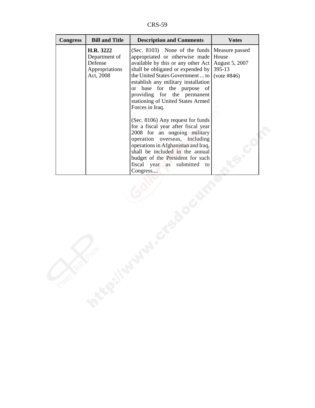CRS-59

| <b>Congress</b> | <b>Bill and Title</b>                                                | <b>Description and Comments</b>                                                                                                                                                                                                                                                                                                                                                  | <b>Votes</b>                  |
|-----------------|----------------------------------------------------------------------|----------------------------------------------------------------------------------------------------------------------------------------------------------------------------------------------------------------------------------------------------------------------------------------------------------------------------------------------------------------------------------|-------------------------------|
|                 | H.R. 3222<br>Department of<br>Defense<br>Appropriations<br>Act, 2008 | (Sec. 8103) None of the funds Measure passed<br>appropriated or otherwise made House<br>available by this or any other Act<br>shall be obligated or expended by $ 395-13\rangle$<br>the United States Government  to<br>establish any military installation<br>or base for the purpose of<br>providing for the permanent<br>stationing of United States Armed<br>Forces in Iraq. | August 5, 2007<br>(vote #846) |
|                 |                                                                      | (Sec. 8106) Any request for funds<br>for a fiscal year after fiscal year<br>2008 for an ongoing military<br>operation overseas, including<br>operations in Afghanistan and Iraq,<br>shall be included in the annual<br>budget of the President for such<br>fiscal year as submitted to<br>Congress                                                                               |                               |